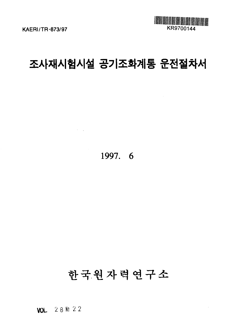

 $\bar{\beta}$ 

# 조사재시험시설 공기조화계통 운전절차서

1997. 6

 $\mathcal{L}^{\text{max}}_{\text{max}}$  , where  $\mathcal{L}^{\text{max}}_{\text{max}}$ 

# 한국원자력연구소

**VOL** 28№22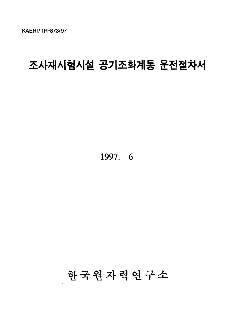# 조사재시험시설 공기조화계통 운전절차서

**1997. 6**

한국원자력연구소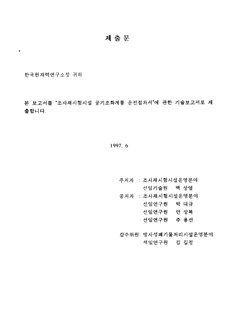# 제출문

한국원자력연구소장 귀하

 $\mathbf{L}^{\mathbf{r}}$ 

본 보고서를 "조사재시험시설 공기조화계통 운전절차서"에 관한 기술보고서로 제 춤합니다.

# 1997.6

주저자 : 조사재시험시설운영분야 선임기술원 백 상열 공저자 : 조사재시험시설운영분야 선임연구원 박 대규 선임연구원 안 상복 선임연구원 주 용선

감수위원: 방사성폐기물처리시설운영분야

책임연구원 김 길정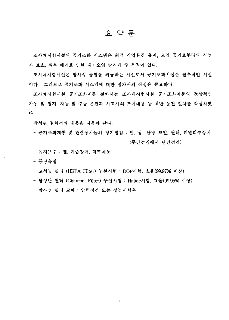# 요 약 문

조사재시험시설의 공기조화 시스템은 최적 작업환경 유지, 오염 공기로부터의 작업 자 보호, 외부 배기로 인한 대기오염 방지에 주 목적이 있다.

조사재시험시설은 방사성 물질을 취급하는 시설로서 공기조화시설은 필수적인 시설 이다. 그러므로 공기조화 시스템에 대한 절차서의 작성은 중요하다.

조사재시험시설 공기조화계통 절차서는 조사재시험시설 공기조화계통의 정상적인 가동 및 정지, 자동 및 수동 운전과 사고시의 조치내용 등 제반 운전 절차를 작성하였 다.

작성된 절차서의 내용은 다음과 같다.

- 공기조화계통 및 관련장치들의 정기점검 : 휀, 냉·난방 코일, 필터, 폐열회수장치 (주간점검에서 년간점검)

- 유지보수 : 휀, 가습장치, 덕트계통

- 풍량측정

- 고성능 필터 (HEPA Filter) 누설시험 : DOP시험, 효율(99.97% 이상)

- 활성탄 필터 (Charcoal Filter) 누설시험 : Halide시험, 효율(99.95% 이상)

- 방사성 필터 교체 : 압력점검 또는 성능시험후

 $\mathbf{i}$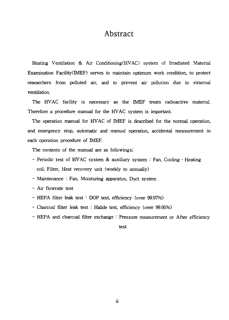# Abstract

Heating Ventilation & Air Conditioning(HVAC) system of Irradiated Material Examination Facility(IMEF) serves to maintain optimum work condition, to protect researchers from polluted air, and to prevent air pollution due to external ventilation.

The HVAC facility is necessary as the IMEF treats radioactive material. Therefore a procedure manual for the HVAC system is important.

The operation manual for HVAC of IMEF is described for the normal operation, and emergency stop, automatic and manual operation, accidental measurement in each operation procedure of IMEF.

The contents of the manual are as followings;

- Periodic test of HVAC system & auxiliary system *'•* Fan, Cooling Heating coil, Filter, Heat recovery unit (weekly to annually)
- Maintenance : Fan, Moisturing apparatus, Duct system
- Air flowrate test
- HEPA filter leak test : DOP test, efficiency (over 99.97%)
- Charcoal filter leak test : Halide test, efficiency (over 99.95%)
- HEPA and charcoal filter exchange : Pressure measurement or After efficiency

test

ii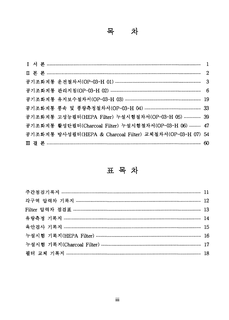|  | 공기조화계통 고성능필터(HEPA Filter) 누설시험절차서(OP-03-H 05)  39         |  |
|--|-----------------------------------------------------------|--|
|  | 공기조화계통 활성탄필터(Charcoal Filter) 누설시험절차서(OP-03-H 06)  47     |  |
|  | 공기조화계통 방사성필터(HEPA & Charcoal Filter) 교체절차서(OP-03-H 07) 54 |  |
|  |                                                           |  |

표목차

| 누설시험 기록지(HEPA Filter) ……………………………………………………………………… 16 |  |
|------------------------------------------------------|--|
|                                                      |  |
|                                                      |  |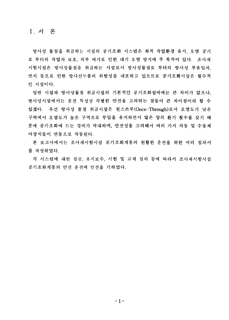I. 서 론

방사성 물질을 취급하는 시설의 공기조화 시스템은 최적 작업환경 유지, 오염 공기 로 부터의 작업자 보호, 외부 배기로 인한 대기 오염 방지에 주 목적이 있다. 조사재 시험시설은 방사성물질을 취급하는 시설로서 방사성물질로 부터의 방사성 부유입자. 먼지 등으로 인한 방사선누출의 위험성을 내포하고 있으므로 공기조화시설은 필수적 인 시설이다.

일반 시설과 방사성물질 취급시설의 기본적인 공기조화설비에는 큰 차이가 없으나. 방사성시설에서는 운전 특성상 각별한 안전을 고려하는 점들이 큰 차이점이라 할 수 있겠다. 우선 방사성 물질 취급시설은 원스쓰루(Once-Through)로서 오염도가 낮은 구역에서 오염도가 높은 구역으로 부압을 유지하면서 많은 양의 환기 횟수를 갖기 때 문에 공기조화에 드는 경비가 막대하며, 안전성을 고려해서 여러 가지 자동 및 수동제 어장치들이 연동으로 작동된다.

본 보고서에서는 조사재시험시설 공기조화계통의 원활한 운전을 위한 여러 절차서 를 작성하였다.

각 시스템에 대한 점검, 유지보수, 시험 및 교체 절차 등에 따라서 조사재시험시설 공기조화계통의 안전 운전에 만전을 기하였다.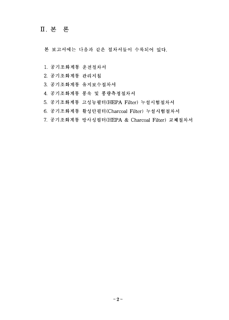# **n.**

본 보고서에는 다음과 같은 절차서들이 수록되어 있다.

- 1. 공기조화계통 운전절차서
- 2. 공기조화계통 관리지침
- 3. 공기조화계통 유지보수절차서
- 4. 공기조화계통 풍속 및 풍량측정절차서
- 5. 공기조화계통 고성능필터(HEPA Filter) 누설시<mark>험</mark>절
- 6. 공기조화계통 활성탄필터 (Charcoal Filter) 누설시험절차서
- 7. 공기조화계통 방사성필터(HEPA & Charcoal Filter) 교체절차서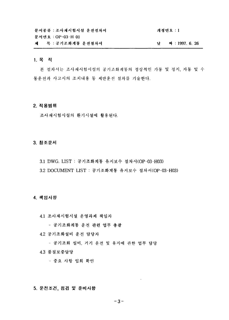| 문서종류 : 조사재시험시설 운전절차서 | 개정번호 : 1      |
|----------------------|---------------|
| 문서번호 : OP-03-H 01-   |               |
| 제 - 목 : 공기조화계통 운전절차서 | 짜 : 1997.6.26 |

#### 1. 목적

본 절차서는 조사재시험시설의 공기조화계통의 정상적인 가동 및 정지, 자동 및 수 동운전과 사고시의 조치내용 등 제반운전 절차를 기술한다.

## 2. 적용범위

조사재시험시설의 환기시설에 활용된다.

# 3. 참조문서

- 3.1 DWG. LIST : 공기조화계통 유지보수 절차서(OP-03-H03)
- 3.2 DOCUMENT LIST : 공기조화계통 유지보수 절차서(OP-03-H03)

#### 4. 책임사항

4.1 조사재시험시설 운영과제 책임자

- 공기조화계통 운전 관련 업무 총괄

4.2 공기조화설비 운전 담당자

- 공기조화 설비, 기기 운전 및 유지에 관한 업무 담당

4.3 품질보증담당

- 중요 사항 입회 확인

# 5. 운전조건, 점검 및 준비사항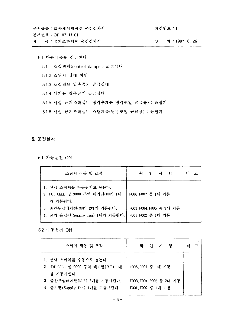제 목 : 공기조화계통 운전절차서

문서번호 : OP-03-H 01

개정번호 : 1

날 짜 : 1997. 6. 26

5.1 다음계통을 점검한다. 5.1.1 조절댐퍼(control damper) 조정상태 5.1.2 스위치 상태 확인 5.1.3 조절밸브 압축공기 공급상태 5.1.4 계기용 압축공기 공급상태 5.1.5 시설 공기조화설비 냉각수계통(냉각코일 공급용) : 하절기 5.1.6 시설 공기조화설비 스팀계통(난방코일 공급용) : 동절기

# 6. 운전절차

6.1 자동운전 ON

| 스위치 작동 및 조작                                                           | 확<br>인 사 항             | 비<br>고 |
|-----------------------------------------------------------------------|------------------------|--------|
| 1. 선택 스위치를 자동위치로 놓는다.<br>2. HOT CELL 및 9000 구역 배기팬(DUP) 1대<br>가 기동된다. | F006 F007 중 1대 기동      |        |
| 3. 중간부압배기팬(MUP) 2대가 기동된다.                                             | F003,F004,F005 중 2대 기동 |        |
| 4. 공기 흡입팬(Supply fan) 1대가 기동된다.                                       | F001,F002 중 1대 기동      |        |

6.2 수동운전 ON

| 스위치 작동 및 조작                                                           | 확<br>인 사 항             | 비<br>고 |
|-----------------------------------------------------------------------|------------------------|--------|
| 1. 선택 스위치를 수동으로 놓는다.<br>2. HOT CELL 및 9000 구역 배기팬(DUP) 1대<br>를 기동시킨다. | F006,F007 중 1대 기동      |        |
| 3. 중간부압배기팬(MUP) 2대를 기동시킨다.                                            | F003.F004.F005 중 2대 기동 |        |
| 4. 급기팬(Supply fan) 1대를 기둥시킨다.                                         | F001, F002 중 1대 기동     |        |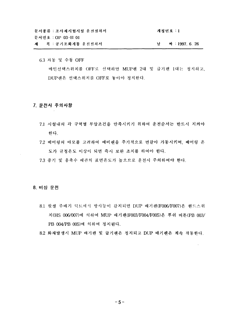문서종류 : 조사재시험시설 운전절차서 개정번호 : 1 문서번호 : OP-03-H 01 제 목 : 공기조화개통 운전절차서 날 짜 : 1997, 6, 26

6.3 자동 및 수동 OFF 메인선택스위치를 OFF로 선택하면 MUP팬 2대 및 급기팬 1대는 정지하고, DUP팬은 선택스위치를 OFF로 놓아야 정지한다.

#### 7. 운전시 주의사항

- 7.1 시설내의 각 구역별 부압조건을 만족시키기 위하여 운전순서는 반드시 지켜야 한다.
- 7.2 베어링의 마모를 고려하여 예비팬을 주기적으로 번갈아 가동시키며, 배어링 온 도가 규정온도 이상이 되면 즉시 보완 조치를 하여야 한다.
- 7.3 증기 및 응축수 배관의 표면온도가 높으므로 운전시 주의하여야 한다.

## 8. 비상 운전

8.1 핫셀 주배기 덕트에서 방사능이 감지되면 DUP 배기팬(F006/F007)은 핸드스위 치(HS 006/007)에 의하여 MUP 배기팬(F003/F004/F005)은 푸쉬 버튼(PB 003/ PB 004/PB 005)에 의하여 정지된다.

8.2 화재발생시 MUP 배기팬 및 급기팬은 정지되고 DUP 배기팬은 계속 작동한다.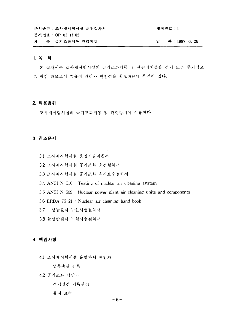문서종류 : 조사재시험시설 운전절차서 주의 가능 개정번호 : 1 문서번호: OP-03-H 02 제 목 : 공기조화계통 관리지침 4 : 1997. 6. 26 남

# 1. 목적

본 절차서는 조사재시험시설의 공기조화계통 및 관련장치들을 정기 또는 주기적으 로 점검 하므로서 효율적 관리와 안전성을 확보하는데 목적이 있다.

#### **2.**

조사재시험시설의 공기조화계통 및 관련장치에 적용한다.

#### **3.**

- 3.1 조사재시험시설 운영기술지침서
- 3.2 조사재시험시설 공기조화 운전절차서
- 3.3 조사재시험시설 공기조화 유지보수절차서
- 3.4 ANSI N-510 : Testing of nuclear air cleaning system
- $3.5$  ANSI N $-509$ : Nuclear power plant air cleaning units and components
- 3.6 ERDA 76-21 : Nuclear air cleaning hand book
- 3.7 고성능필터 누설시험절차서
- 3.8 활성탄필터 누설시험절차서

#### **4.**

- 4.1 조사재시험시설 운영과제 책임자
	- 업무총괄 감독
- 4.2 공기조화 담당자
	- 정기점검 기록관리
		- 유지 보수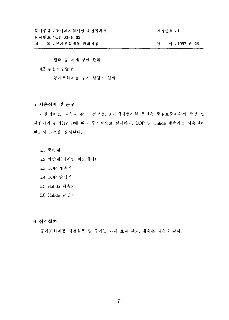문서종류 : 조사재시험시설 운전점차서 문서번호 : OP-03-H 02

개정번호 : 1

남 짜 : 1997. 6. 26

목 : 공기조화계통 관리지침 제

- 필터 등 자재 구매 관리
- 4.3 품질보증담당
	- 공기조화계통 주기 점검시 입회

## 5. 사용장비 및 공구

사용장비는 다음과 같고, 검교정, 조사재시험시설 운전은 품질보증계획서 측정 및 시험기기 관리(12-1)에 따라 주기적으로 실시하되, DOP 및 Halide 계측기는 사용전에 반드시 교정을 실시한다.

- 5.1 풍속계
- 5.2 차압계(디지탈 마노메터)
- 5.3 DOP 계측기
- 5.4 DOP 발생기
- 5.5 Halide 계측기
- 5.6 Halide 발생기

## 6. 점검절차

공기조화계통 점검항목 및 주기는 아래 표와 같고, 내용은 다음과 같다.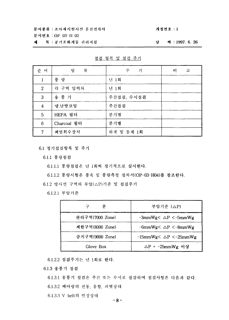문서종류 : 조사재시험시설 운전절차서 문서번호 : OP 03-H 02

제 목 : 공기조화계동 관리지침

#### 개정번호 : 1

날 짜 : 1997. 6. 26

| 순 서              | 항<br>목      | 기<br>주     | 비<br>고 |
|------------------|-------------|------------|--------|
| 1                | 풍 랑         | 년 1회       |        |
| $\boldsymbol{2}$ | 각 구역 압력차    | 년 1회       |        |
| 3                | 송 풍 기       | 주간점검, 수시점검 |        |
| $\boldsymbol{4}$ | 냉.난방코일      | 주간점검       |        |
| 5                | HEPA 필터     | 분기별        |        |
| 6                | Charcoal 필터 | 분기별        |        |
| 7                | 폐열회수장치      | 하계 및 동계 1회 |        |

점검 항목 및 점검 주기

6.1 정기점검항목 및 주기

6.1.1 풍량점검

6.1.1.1 풍량점검은 년 1회씩

6.1.1.2 풍량시험은 풍속 및 풍량측정 절차서(OP-03-H04)를 참조한다.

6.1.2 방사선 구역의 부압(△P)기준 및 점검주기

6.1.2.1 부압기준

| 분<br>구          | 부압기준 (△P)                          |
|-----------------|------------------------------------|
| 관리구역(7000 Zone) | $-3mmWg<\Delta P<-5mmWg$           |
| 제한구역(8000 Zone) | $-6mmWg<\Delta P<-8mmWg$           |
| 금지구역(9000 Zone) | $-15$ mmWg $<\Delta P$ $<$ -25mmWg |
| Glove Box       | △P = -25mmWg 이상                    |

6.1.2.2 점검주기는 년 1회로 한다.

6.1.3 송풍가 점검

6.1.3.1 송풍기 점검은 주간 또는 수시로 점검하며 점검사항은 다음과 같다. 6.1.3.2 베아링의 진동, 음향, 과열상태

6.1.3.3 V-belt21 *°V*

**- 8 -**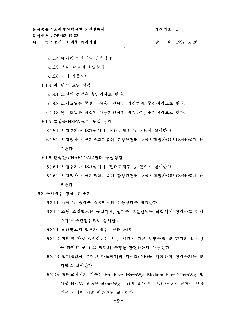문서번호: OP-03-H 02

목 : 공기조화계통 관리지침 zil.

남 科: 1997. 6. 26

6.1.3.4 베아링 하우징의 급유상태

- 6.1.3.5 볼트, 너트의 조임상태
- 6.1.3.6 기타 작동상태

6.1.4 냉, 난방 코일 점검

6.1.4.1 코일의 점검은 육안검사로 한다.

6.1.4.2 스팀코일은 동절기 사용기간에만 점검하며, 주간점검으로 한다.

6.1.4.3 냉각코일은 하절기 사용기간에만 점검하며 주간점검으로 한다.

6.1.5 고성능(HEPA)필터 누설 점검

6.1.5.1 시험주기는 18개월이나, 필터교체후 등 필요시 실시한다.

- 6.1.5.2 시험절차는 공기조화계통의 고성능필터 누설시험절차(OP-03-H05)를 참 조한다.
- 6.1.6 활성탄(CHARCOAL)필터 누설점검
	- 6.1.6.1 시험주기는 18개월이나, 필터교체후 등 필요시 실시한다.
	- 6.1.6.2 시험절차는 공기조화계통의 활성탄필터 누설시험절차(OP-03-H06)를 참 조한다.
- 6.2 주기점검 항목 및 주기
	- 6.2.1.1 스팀 및 냉각수 조절밸브의 작동상태를 점검한다.
	- 6.2.1.2 스팀 조절밸브는 동절기에, 냉각수 조절밸브는 하절기에 점검하고 점검 주기는 주간점검으로 실시한다.
	- 6.2.2.1 필터뱅크의 압력차 점검 (필터 △P)
	- 6.2.2.2 필터의 차압(△P)점검은 사용 시간에 따른 오염물질 및 먼지의 퇴적량 을 파악할 수 있고 필터의 수명을 판단하는데 사용한다.
	- 6.2.2.3 필터뱅크에 부착된 마노메터의 지시값(△P)을 기록하며 점검주기는 분 기별로 실시한다.
	- 6.2.2.4 필터교체시기 기준은 Pre-filter 16mmWg, Medium filter 24mmWg, 방 사성 HEPA filter는 50mmWg로 하며 효율 및 필터 구조에 결함이 있을 때는 차압이 기준 이하라도 교체한다.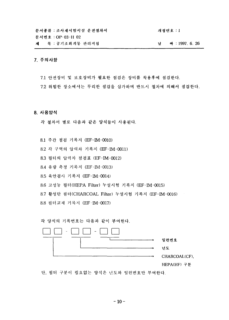문서종류 : 조사재시험시설 운전절차서 개정번호 : 1 문서번호 : OP-03-H 02 제 목 : 공기조화계통 관리지침 4 : 1997. 6. 26

# **7.**

- 7.1 안전장비 및 보호장비가 필요한 점검은 장비를 착용후에 점검한다.
- 7.2 위험한 장소에서는 무리한 점검을 삼가하며 반드시 절차에 의해서 점검한다.

#### **8.**

- 각 절차서 별로 다음과 같은 양식들이 사용된다.
- 8.1 주간 점검 기록지 (EF-IM-0010)
- 8.2 각 구역의 압력차 기록지 (<mark>EF-IM-00</mark>11)
- 8.3 필터의 압력차 점검표 (EF-IM-0012)
- 8.4 유량 측정 기록지 (EF-IM-0013)
- 8.5 육안검사 기록<mark>지 (EF-IM-001</mark>4)
- 8.6 고성능 필터(HEPA Filter) 누설시<mark>험 기록지 (EF-IM-0015</mark>)

8.7 활성탄 필터(CHARCOAL Filter) 누설시험 기록지 (EF-<mark>IM-00</mark>16)

8.8 필터교체 기록지 (EF-IM-0017)

각 양식의 기록번호는 다음과 같이 부여한다.

| $\qquad \qquad =$<br>$\overline{\phantom{a}}$ |               |
|-----------------------------------------------|---------------|
|                                               | 일련번호          |
|                                               | 년도            |
|                                               | CHARCOAL(CF), |
|                                               | HEPA(HF) 구분   |

단, 필터 구분이 필요없는 양식은 년도와 일련번호만 부여한다.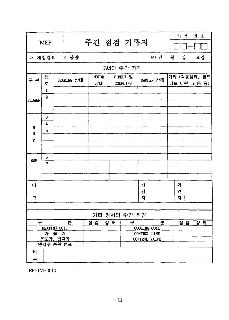|                       | <b>IMEF</b>                  |  |   |                                                                 |     |  |     |  | 주간 점검 기록지    |  |        |                   |   | 기 록                          | 번 호 |  |
|-----------------------|------------------------------|--|---|-----------------------------------------------------------------|-----|--|-----|--|--------------|--|--------|-------------------|---|------------------------------|-----|--|
| △ 재점검요 × 불량           |                              |  |   |                                                                 |     |  |     |  |              |  |        | 199 년             | 월 | 일                            | 요일  |  |
|                       | FAN의 주간 점검                   |  |   |                                                                 |     |  |     |  |              |  |        |                   |   |                              |     |  |
| 구 분                   | 번<br>호                       |  |   | V-BELT 및<br><b>MOTOR</b><br>BEARING 상태<br>상태<br><b>COUPLING</b> |     |  |     |  |              |  |        | DAMPER 상태         |   | 기타 (작동상태, 불트<br>너트 이완, 진동 등) |     |  |
|                       | $\mathbf{1}$<br>$\mathbf{z}$ |  |   |                                                                 |     |  |     |  |              |  |        |                   |   |                              |     |  |
| <b>BLOWER</b>         |                              |  |   |                                                                 |     |  |     |  |              |  |        |                   |   |                              |     |  |
|                       | 3<br>4                       |  |   |                                                                 |     |  |     |  |              |  |        |                   |   |                              |     |  |
| M<br>U<br>${\bf P}$   | 5                            |  |   |                                                                 |     |  |     |  |              |  |        |                   |   |                              |     |  |
|                       |                              |  |   |                                                                 |     |  |     |  |              |  |        |                   |   |                              |     |  |
| <b>DUP</b>            | 6                            |  |   |                                                                 |     |  |     |  |              |  |        |                   |   |                              |     |  |
|                       | $\overline{7}$               |  |   |                                                                 |     |  |     |  |              |  |        |                   |   |                              |     |  |
|                       |                              |  |   |                                                                 |     |  |     |  |              |  |        |                   |   |                              |     |  |
| 비                     |                              |  |   |                                                                 |     |  |     |  |              |  | 점<br>검 |                   |   | 왁<br>인                       |     |  |
| 고                     |                              |  |   |                                                                 |     |  |     |  |              |  | 자      |                   |   | 자                            |     |  |
|                       |                              |  |   |                                                                 |     |  |     |  |              |  |        |                   |   |                              |     |  |
|                       |                              |  |   |                                                                 |     |  |     |  | 기타 장치의 주간 점검 |  |        |                   |   |                              |     |  |
| 쿠                     |                              |  | 분 |                                                                 | 점 검 |  | 상 태 |  | 구            |  |        | 뵨<br>COOLING COIL |   | 점 검                          | 상 태 |  |
| HEATING COIL<br>가 습 기 |                              |  |   |                                                                 |     |  |     |  |              |  |        | CONTROL LINE      |   |                              |     |  |
| 온도계, 압력계<br>냉각수 순환 펌프 |                              |  |   |                                                                 |     |  |     |  |              |  |        | CONTROL VALVE     |   |                              |     |  |
|                       |                              |  |   |                                                                 |     |  |     |  |              |  |        |                   |   |                              |     |  |
| H<br>고                |                              |  |   |                                                                 |     |  |     |  |              |  |        |                   |   |                              |     |  |

EF-IM-0010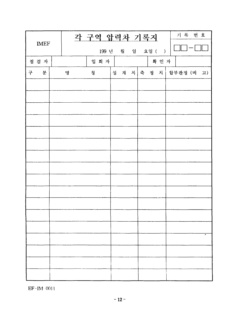| <b>IMEF</b> |  |   |   | 각 구역 압력차 기록지     |    |  |  |       | 기록 번호                |
|-------------|--|---|---|------------------|----|--|--|-------|----------------------|
|             |  |   |   | 199 년 월 일 요일 ( ) |    |  |  |       |                      |
| 점검자         |  |   |   | 입 회 자            |    |  |  | 확 인 자 |                      |
| 분<br>구      |  | 명 | 칭 |                  | │설 |  |  |       | 계 치 축 정 치 합부판정 (비 고) |
|             |  |   |   |                  |    |  |  |       |                      |
|             |  |   |   |                  |    |  |  |       |                      |
|             |  |   |   |                  |    |  |  |       |                      |
|             |  |   |   |                  |    |  |  |       |                      |
|             |  |   |   |                  |    |  |  |       |                      |
|             |  |   |   |                  |    |  |  |       |                      |
|             |  |   |   |                  |    |  |  |       |                      |
|             |  |   |   |                  |    |  |  |       |                      |
|             |  |   |   |                  |    |  |  |       |                      |
|             |  |   |   |                  |    |  |  |       |                      |
|             |  |   |   |                  |    |  |  |       |                      |
|             |  |   |   |                  |    |  |  |       |                      |
|             |  |   |   |                  |    |  |  |       |                      |
|             |  |   |   |                  |    |  |  |       |                      |
|             |  |   |   |                  |    |  |  |       |                      |
|             |  |   |   |                  |    |  |  |       |                      |
|             |  |   |   |                  |    |  |  |       |                      |

 $EF-IM=0011$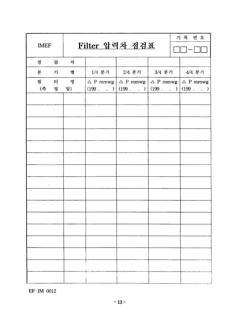| <b>IMEF</b> |                         | Filter 압력차 점검표 | 기록 번호                                                                                         |  |  |  |
|-------------|-------------------------|----------------|-----------------------------------------------------------------------------------------------|--|--|--|
| 점 검         |                         | 자              |                                                                                               |  |  |  |
| 분 기 별       |                         |                | 1/4 분기   2/4 분기   3/4 분기   4/4 분기                                                             |  |  |  |
|             |                         | 필 터 명          | $\triangle$ P mmwg $\triangle$ P mmwg $\triangle$ P mmwg $\triangle$ P mmwg                   |  |  |  |
| (측 정 일)     |                         |                | $(199 \t\t . \t\t 1)   (199 \t\t . \t\t 1)   (199 \t\t . \t\t 1)   (199 \t\t . \t\t . \t\t )$ |  |  |  |
|             |                         |                |                                                                                               |  |  |  |
|             | $\sim 100$ km s $^{-1}$ |                |                                                                                               |  |  |  |
|             |                         |                |                                                                                               |  |  |  |
|             |                         |                |                                                                                               |  |  |  |
|             |                         |                |                                                                                               |  |  |  |
|             |                         |                |                                                                                               |  |  |  |
|             |                         |                |                                                                                               |  |  |  |
|             |                         |                |                                                                                               |  |  |  |
|             |                         |                |                                                                                               |  |  |  |
|             |                         |                |                                                                                               |  |  |  |
|             |                         |                |                                                                                               |  |  |  |
|             |                         |                |                                                                                               |  |  |  |
|             |                         |                |                                                                                               |  |  |  |
|             |                         |                |                                                                                               |  |  |  |
|             |                         |                |                                                                                               |  |  |  |
|             |                         |                |                                                                                               |  |  |  |

EF-IM-0012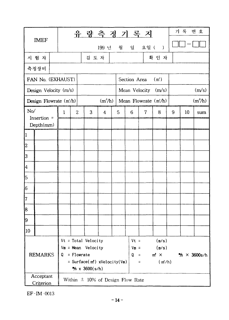|                |                          |  |              |                |                                                                             |                     | 유 량 측 정 기 록 지                        |                        |                 |                                         |   | 기 록                           | 번 호       |  |  |
|----------------|--------------------------|--|--------------|----------------|-----------------------------------------------------------------------------|---------------------|--------------------------------------|------------------------|-----------------|-----------------------------------------|---|-------------------------------|-----------|--|--|
|                | <b>IMEF</b>              |  |              |                |                                                                             |                     | 199 년 월 일                            |                        |                 | 요일 ( )                                  |   |                               |           |  |  |
|                | 시 험 자                    |  |              |                | 검 토 자                                                                       |                     |                                      |                        |                 | 확 인 자                                   |   |                               |           |  |  |
| 측정장비           |                          |  |              |                |                                                                             |                     |                                      |                        |                 |                                         |   |                               |           |  |  |
|                | FAN No. (EXHAUST)        |  |              |                |                                                                             |                     |                                      | Section Area           |                 | (m')                                    |   |                               |           |  |  |
|                | Design Velocity $(m/s)$  |  |              |                |                                                                             |                     |                                      |                        |                 | Mean Velocity (m/s)                     |   |                               | (m/s)     |  |  |
|                | Design Flowrate $(m/h)$  |  |              |                |                                                                             | (m <sup>3</sup> /h) |                                      |                        |                 | Mean Flowrate $(m/h)$                   |   |                               | $(m^3/h)$ |  |  |
| No/            |                          |  | $\mathbf{1}$ | $\overline{2}$ | 3                                                                           | $\overline{4}$      | 5                                    | 6                      | $\mathcal{I}$   | 8                                       | 9 | 10                            | sum       |  |  |
|                | Insertion =<br>Depth(mm) |  |              |                |                                                                             |                     |                                      |                        |                 |                                         |   |                               |           |  |  |
| $\vert$ 1      |                          |  |              |                |                                                                             |                     |                                      |                        |                 |                                         |   |                               |           |  |  |
| 2              |                          |  |              |                |                                                                             |                     |                                      |                        |                 |                                         |   |                               |           |  |  |
| 3              |                          |  |              |                |                                                                             |                     |                                      |                        |                 |                                         |   |                               |           |  |  |
| 4              |                          |  |              |                |                                                                             |                     |                                      |                        |                 |                                         |   |                               |           |  |  |
| 5              |                          |  |              |                |                                                                             |                     |                                      |                        |                 |                                         |   |                               |           |  |  |
| 6              |                          |  |              |                |                                                                             |                     |                                      |                        |                 |                                         |   |                               |           |  |  |
| 7              |                          |  |              |                |                                                                             |                     |                                      |                        |                 |                                         |   |                               |           |  |  |
| 8              |                          |  |              |                |                                                                             |                     |                                      |                        |                 |                                         |   |                               |           |  |  |
| 19             |                          |  |              |                |                                                                             |                     |                                      |                        |                 |                                         |   |                               |           |  |  |
| 10             |                          |  |              |                |                                                                             |                     |                                      |                        |                 |                                         |   |                               |           |  |  |
| <b>REMARKS</b> |                          |  |              | $Q =$ Flowrate | $Vt = Total Velocity$<br>$Vm = Mean$ Velocity<br>$\frac{mg}{x}$ x 3600(s/h) |                     | = $Surface(m2)$ xVelocity(Vm)        | $Vt =$<br>$V_m =$<br>Q | $\equiv$<br>$=$ | (m/s)<br>(m/s)<br>$m^2 \times$<br>(m/h) |   | $\frac{m}{3} \times 3600$ s/h |           |  |  |
|                | Acceptant<br>Criterion   |  |              |                |                                                                             |                     | Within $\pm$ 10% of Design Flow Rate |                        |                 |                                         |   |                               |           |  |  |

EF-IM-0013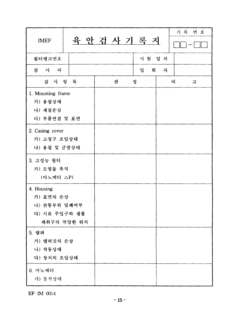| <b>IMEF</b>                                                             |   | 육 안 검 사 기 록 지 |   | 기록 번호  |
|-------------------------------------------------------------------------|---|---------------|---|--------|
| 필터뱅크번호                                                                  |   | 시험 일 자        |   |        |
| 사 자<br>검                                                                |   | 입<br>회        | 자 |        |
| 검 사 항 목                                                                 | 판 | 정             |   | 비<br>고 |
| 1. Mounting frame<br>가) 용접상태<br>나) 재질손상<br>다) 부품연결 및 표면                 |   |               |   |        |
| 2. Casing cover<br>가) 고정구 조임상태<br>나) 용접 및 균열상태                          |   |               |   |        |
| 3. 고성능 필터<br>가) 오염물 축적<br>(마노메터 △P)                                     |   |               |   |        |
| 4. Housing<br>가) 표면의 손상<br>나) 관통부위 밀폐여부<br>다) 시료 주입구와 샘플<br>채취구의 적당한 위치 |   |               |   |        |
| 5. 댐퍼<br>가) 댐퍼깃의 손상<br>나) 작동상태<br>다) 장치의 조임상태                           |   |               |   |        |
| 6. 마노메터<br>가) 동작상태                                                      |   |               |   |        |

EF-IM 0014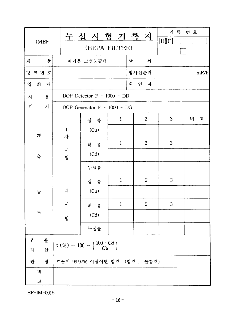| <b>IMEF</b> |                   | 누설 시 험 기 록 지<br>(HEPA FILTER)                           |              | 기록 번호<br>$H$ $F$ |   |      |  |  |  |
|-------------|-------------------|---------------------------------------------------------|--------------|------------------|---|------|--|--|--|
| 통<br>계      |                   | 배기용 고성능필터                                               |              | 날<br>짜           |   |      |  |  |  |
| 뱅 크 번 호     |                   |                                                         |              | 방사선준위            |   | mR/h |  |  |  |
| 입<br>회 자    |                   |                                                         |              | 확 인 자            |   |      |  |  |  |
| 용<br>사      |                   | DOP Detector $F - 1000 - DD$                            |              |                  |   |      |  |  |  |
| 계<br>가      |                   | DOP Generator F - 1000 - DG                             |              |                  |   |      |  |  |  |
|             |                   | 상 류                                                     | $\mathbf{1}$ | $\overline{c}$   | 3 | 비 고  |  |  |  |
| 계           | $\mathbf{1}$<br>차 | (Cu)                                                    |              |                  |   |      |  |  |  |
|             |                   | 하 류                                                     | $\mathbf{l}$ | $\overline{2}$   | 3 |      |  |  |  |
| 측           | 시<br>험            | (Cd)                                                    |              |                  |   |      |  |  |  |
|             |                   | 누설율                                                     |              |                  |   |      |  |  |  |
|             |                   | 상 류                                                     | $\mathbf{1}$ | $\boldsymbol{2}$ | 3 |      |  |  |  |
| 농           | 재                 | (Cu)                                                    |              |                  |   |      |  |  |  |
|             | 시                 | 하 류                                                     | $\mathbf{1}$ | $\overline{2}$   | 3 |      |  |  |  |
| 도           | 험                 | (Cd)                                                    |              |                  |   |      |  |  |  |
|             |                   | 누설율                                                     |              |                  |   |      |  |  |  |
| 율<br>立      |                   | $\eta (%) = 100 - \left(\frac{100 \cdot Cd}{Cu}\right)$ |              |                  |   |      |  |  |  |
| 산<br>계      |                   |                                                         |              |                  |   |      |  |  |  |
| 정<br>판      |                   | 효율이 99.97% 이상이면 합격 (합격, 불합격)                            |              |                  |   |      |  |  |  |
| 비<br>고      |                   |                                                         |              |                  |   |      |  |  |  |

EF-IM-0015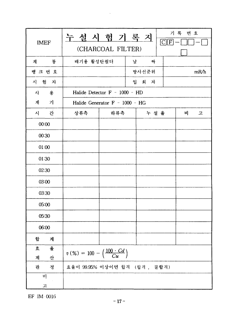누설시험기록지 (Partie) **IMEF** (CHARCOAL FILTER) 배기용 활성탄필터 계 통 날 짜 방사선준위 뱅크번호  $mR/h$ 시 험 자 입 회 자 Halide Detector F - 1000 - HD 사 -용 계  $|z|$ Halide Generator F - 1000 - HG 상류측 누설 율 시 간 하류측  $H$ 고  $00:00$ 00:30  $01:00$ 01:30 02:30 03:00 03:30 05:00 05:30 06:00 계 합 효 -육  $\eta\left(\%\right) = 100 - \left(\frac{100 \cdot Cd}{Cu}\right)$ 계 산 효율이 99.95% 이상이면 합격 (합격, 불합격) 판 - 정 비. 고

EF IM 0016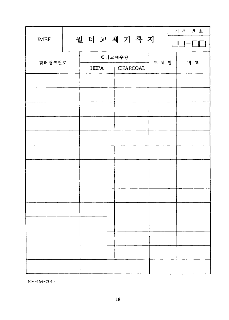| <b>IMEF</b> |             | 필터교체기록지  |       | 기록 번호 |
|-------------|-------------|----------|-------|-------|
|             |             |          |       |       |
| 필터뱅크번호      |             | 필터교체수량   | 교 체 일 | 비고    |
|             | <b>HEPA</b> | CHARCOAL |       |       |
|             |             |          |       |       |
|             |             |          |       |       |
|             |             |          |       |       |
|             |             |          |       |       |
|             |             |          |       |       |
|             |             |          |       |       |
|             |             |          |       |       |
|             |             |          |       |       |
|             |             |          |       |       |
|             |             |          |       |       |
|             |             |          |       |       |
|             |             |          |       |       |
|             |             |          |       |       |
|             |             |          |       |       |

 $EF$ -IM-0017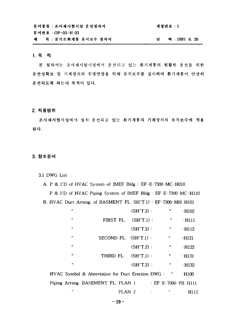| 문서종류 : 조사재시험시설 운전절차서    | 개정번호 : 1 |             |
|-------------------------|----------|-------------|
| 문서번호 : OP-03-H 03       |          |             |
| 제 : 목 : 공기조화계통 유지보수 절차서 |          | 짜 1997 6.26 |

#### 1. 목적

본 절차서는 조사재시험시설에서 운전되고 있는 환기계통의 원활한 운전을 위한 운전성확보 및 기계장치의 수명연장을 위해 유지보수를 실시하여 환기계통이 안전히 운전되도록 하는데 목적이 있다.

#### **2.**

조사재시험시설에서 설치 운전되고 있는 환기계통의 기계장치의 유지보수에 적용 된다.

## **3.**

3.1 DWG List

 $\boldsymbol{\theta}$ 

A. P & I'D of HVAC System of IMEF Bldg : EF-E-7300-MC-H010

P & I'D of HVAC Piping System of IMEF Bldg : EF-E-7300-MC-H110 B. HVAC Duct Arrang. of BASMENT FL. SH'T.l) : EF-7300-MH-H101

| $\boldsymbol{\mu}$ |                                                  | $(SH'T.2)$ : | $\boldsymbol{\theta}$ | $-H102$             |
|--------------------|--------------------------------------------------|--------------|-----------------------|---------------------|
| $\boldsymbol{\mu}$ | FIRST FL.                                        | $(SH'T.1)$ : | $^{\prime\prime}$     | -H111               |
| $\overline{1}$     |                                                  | $(SH'T.2)$ : | ,,                    | $-H112$             |
| $^{\prime\prime}$  | SECOND FL. (SH'T.1):                             |              | 11                    | -H121               |
| $^{\prime\prime}$  |                                                  | $(SH'T.2)$ : | n                     | $-H122$             |
| $\boldsymbol{H}$   | THIRD FL.                                        | $(SH'T.1)$ : | $\boldsymbol{\mu}$    | -H131               |
| $\theta$           |                                                  | $(SH'T.2)$ : | $\pmb{\cdot}$         | $-H132$             |
|                    | HVAC Symbol & Abreviation for Duct Erection DWG: |              | $\mathbf{u}$          | $-H100$             |
|                    | Piping Arrang. BASEMENT FL. PLAN-1               |              |                       | : EF-E-7000 PB H111 |

PLAN 2 : " HI12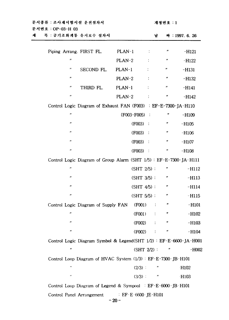| 문서종류 : 조사재시험시설 운전절차서<br>문서번호 : OP-03-H 03                           |                                 | 개정번호 : 1                   |              |  |  |  |  |  |  |
|---------------------------------------------------------------------|---------------------------------|----------------------------|--------------|--|--|--|--|--|--|
| 목 : 공기조화계통 유지보수 절차서                                                 |                                 | ਖ                          | 外:1997.6.26  |  |  |  |  |  |  |
| Piping Arrang. FIRST FL.                                            | $PLAN-1$<br>÷                   | ,,                         | $-H121$      |  |  |  |  |  |  |
| $\boldsymbol{H}$                                                    | PLAN-2                          | n                          | $-H122$      |  |  |  |  |  |  |
| Ħ<br>SECOND FL.                                                     | $PLAN-1$                        | $\boldsymbol{\mathcal{H}}$ | $-H131$      |  |  |  |  |  |  |
| $\pmb{\varepsilon}$                                                 | PLAN-2<br>÷                     | n                          | $-H132$      |  |  |  |  |  |  |
| $\boldsymbol{\mu}$<br>THIRD FL.                                     | PLAN-1<br>÷                     | $\boldsymbol{\theta}$      | $-H141$      |  |  |  |  |  |  |
| $\boldsymbol{H}$                                                    | PLAN-2<br>÷                     | $^{\prime\prime}$          | $-H142$      |  |  |  |  |  |  |
| Control Logic Diagram of Exhaust FAN (F003) : EF-E-7300-JA-H110     |                                 |                            |              |  |  |  |  |  |  |
| $\pmb{\mu}$                                                         | (F003-F005):                    | n                          | $-H109$      |  |  |  |  |  |  |
| $\pmb{\mu}$                                                         | (F003)<br>$\cdot$ :             | n                          | $-H105$      |  |  |  |  |  |  |
| $\pmb{\mu}$                                                         | (F003)<br>$\sim$ 1              | n                          | $-H106$      |  |  |  |  |  |  |
| $\pmb{\mu}$                                                         | (F003)<br>$\mathbb{R}$          | $\pmb{\nu}$                | $-H107$      |  |  |  |  |  |  |
| $\pmb{\mu}$                                                         | (F003)<br>$\sim$                | n                          | $-H108$      |  |  |  |  |  |  |
| Control Logic Diagram of Group Alarm (SHT 1/5): EF-E-7300-JA-H111   |                                 |                            |              |  |  |  |  |  |  |
| $\pmb{\mu}$                                                         | $(SHT 2/5)$ :                   | Ħ                          | $-H112$      |  |  |  |  |  |  |
| $\boldsymbol{\mu}$                                                  | $(SHT 3/5)$ :                   | $\boldsymbol{\theta}$      | $-H113$      |  |  |  |  |  |  |
| $\pmb{\mu}$                                                         | $(SHT 4/5)$ :                   | Ħ                          | $-H114$      |  |  |  |  |  |  |
| $\pmb{\mu}$                                                         | $(SHT 5/5)$ :                   | ,,                         | -H115        |  |  |  |  |  |  |
| Control Logic Diagram of Supply FAN                                 | (F001)                          | "                          | $-H101$      |  |  |  |  |  |  |
| $\pmb{\mu}$                                                         | (F001)                          | n<br>$\ddot{\cdot}$        | $-H102$      |  |  |  |  |  |  |
| $\pmb{\mu}$                                                         | $($ FOO2 $)$                    |                            | $-H103$      |  |  |  |  |  |  |
| ,,                                                                  | (F002)                          | Ħ<br>$\ddot{\cdot}$        | -H104        |  |  |  |  |  |  |
| Control Logic Diagram Symbol & Legend(SHT 1/2): EF-E-6600-JA-H001   |                                 |                            |              |  |  |  |  |  |  |
| n                                                                   | $(SHT 2/2)$ :                   |                            | n<br>$-H002$ |  |  |  |  |  |  |
| Control Loop Diagram of HVAC System (1/3): EF-E-7300-JB-H101        |                                 |                            |              |  |  |  |  |  |  |
| ,,                                                                  | $(2/3)$ :                       |                            | <b>H102</b>  |  |  |  |  |  |  |
| u                                                                   | $(3/3)$ :                       | $\boldsymbol{\theta}$      | $\cdot$ H103 |  |  |  |  |  |  |
| Control Loop Diagram of Legend & Sympool $E = E - 6000 - JB - H101$ |                                 |                            |              |  |  |  |  |  |  |
| Control Panel Arrangement                                           | $E = EF - E - 6600 - JE - H101$ |                            |              |  |  |  |  |  |  |
|                                                                     | $-20-$                          |                            |              |  |  |  |  |  |  |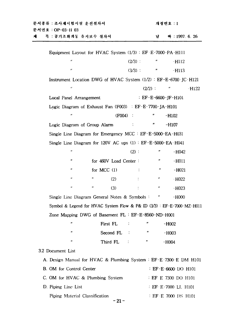| 문서종류 : 조사재시험시설 운전절차서<br>문서번호 : OP-03-H 03 |                                                                 |                    |                       | 개정번호 : 1     |                   |                                                                          |  |  |  |  |
|-------------------------------------------|-----------------------------------------------------------------|--------------------|-----------------------|--------------|-------------------|--------------------------------------------------------------------------|--|--|--|--|
| 계                                         | 목 : 공기조화계통 유지보수 절차서                                             |                    |                       |              | 날                 | 짜:1997.6.26                                                              |  |  |  |  |
|                                           | Equipment Layout for HVAC System (1/3): EF E-7000-PA-H111       |                    |                       |              |                   |                                                                          |  |  |  |  |
|                                           | $^{\prime\prime}$                                               |                    |                       | $(2/3)$ :    |                   | -H112                                                                    |  |  |  |  |
|                                           | $\boldsymbol{\mu}$                                              |                    |                       | $(3/3)$ :    | $\boldsymbol{u}$  | -H113                                                                    |  |  |  |  |
|                                           |                                                                 |                    |                       |              |                   | Instrument Location DWG of HVAC System $(1/2)$ : EF-E-6700 JC-H121       |  |  |  |  |
|                                           | $\boldsymbol{\mathcal{U}}$                                      |                    |                       |              | $(2/2)$ :         | $-H122$                                                                  |  |  |  |  |
|                                           | Local Panel Arrangement                                         |                    |                       |              |                   | : $EF-E-6600-JF-H101$                                                    |  |  |  |  |
|                                           | Logic Diagram of Exhaust Fan (F003) EF-E-7700-JA-H101           |                    |                       |              |                   |                                                                          |  |  |  |  |
|                                           | $^{\prime\prime}$                                               |                    | $(F004)$ :            |              |                   | $-H102$                                                                  |  |  |  |  |
|                                           | Logic Diagram of Group Alarm                                    |                    |                       |              | n                 | -H107                                                                    |  |  |  |  |
|                                           | Single Line Diagram for Emergency MCC : EF-E-5000-EA-H031       |                    |                       |              |                   |                                                                          |  |  |  |  |
|                                           | Single Line Diagram for 120V AC ups $(1)$ : $EF-E-5000-EA-H041$ |                    |                       |              |                   |                                                                          |  |  |  |  |
|                                           | $\pmb{\theta}$                                                  |                    |                       | (2):         | n                 | $-H042$                                                                  |  |  |  |  |
|                                           | 11                                                              |                    | for 460V Load Center: |              |                   | -H011                                                                    |  |  |  |  |
|                                           | 11                                                              |                    | for MCC $(1)$         |              | n                 | $-H021$                                                                  |  |  |  |  |
|                                           | n                                                               | n                  | (2)                   |              | n                 | $-$ H022                                                                 |  |  |  |  |
|                                           | ,,                                                              | $\boldsymbol{\mu}$ | (3)                   | $\mathbb{Z}$ | $^{\prime\prime}$ | $-H023$                                                                  |  |  |  |  |
|                                           | Single Line Diagram General Notes & Symbols:                    |                    |                       |              | Ħ                 | $-H000$                                                                  |  |  |  |  |
|                                           |                                                                 |                    |                       |              |                   | Symbol & Legend for HVAC System Flow & P& ID $(3/3)$ : EF-E-7000-MZ-H011 |  |  |  |  |
|                                           | Zone Mapping DWG of Basement FL: EF-E-8560-ND-H001              |                    |                       |              |                   |                                                                          |  |  |  |  |
|                                           | ,,                                                              |                    | First FL              |              | "                 | $-H002$                                                                  |  |  |  |  |
|                                           | ,,                                                              |                    | Second FL             |              |                   | $-H003$                                                                  |  |  |  |  |
|                                           | ,,                                                              |                    | Third FL              |              | n                 | $-H004$                                                                  |  |  |  |  |
| 3.2 Document List                         |                                                                 |                    |                       |              |                   |                                                                          |  |  |  |  |
|                                           |                                                                 |                    |                       |              |                   | A. Design Manual for HVAC & Plumbing System : EF-E-7300-E DM H101        |  |  |  |  |
|                                           | B. OM for Control Center                                        |                    |                       |              |                   | : EF-E-6600-DO H101                                                      |  |  |  |  |
|                                           | C. OM for HVAC & Plumbing System                                |                    |                       |              |                   | : EF E 7300 DO H101                                                      |  |  |  |  |
|                                           | D. Piping Line List                                             |                    |                       |              |                   | : EF-E-7000 LL H101                                                      |  |  |  |  |
|                                           | Piping Material Classification                                  |                    |                       |              |                   | : EF-E 7000 DS H101                                                      |  |  |  |  |

 $-21 -$ 

# 개 저 버 ㅎ ㆍ !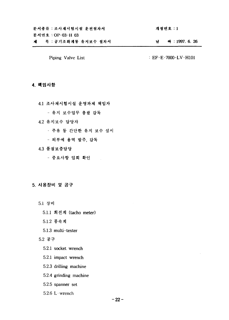#### Piping Valve List : EF-E-7000-LV-H101

#### **4.**

- 4.1 조사재시험시설 운영과제 책임자
	- 유지 보수업무 총괄 감독
- 4.2 유지보수 담당자
	- 주유 등 간단한 유지 보수 실시

 $\sim$ 

- 외부에 용역 발주, 감독

#### **4.3**

- 중요사항 입회 확인

#### **5.**

- 5.1 장비
	- 5.1.1 회전계 (tacho meter)
	- 5.1.2 풍속계
	- 5.1.3 multi-tester

# $5.2$  공구

- 5.2.1 socket wrench
- 5.2.1 impact wrench
- 5.2.3 drilling machine
- 5.2.4 grinding machine
- 5.2.5 spanner set
- $5.2.6$  L-wrench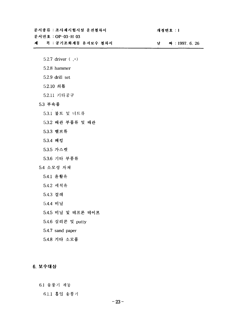제 목 : 공기조화계동 유지보수 절차서

문서번호: OP-03-H 03

# 개정번호 : 1

날 짜 : 1997. 6. 26

- 5.2.7 driver  $( , + )$
- 5.2.8 hammer
- 5.2.9 drill set
- 5.2.10 쇠톱
- 5.2.11 기타공구
- 5.3 부속품
	- 5.3.1 볼트 및 너트류
	- 5.3.2 배관 부품류 및 배관
	- 5.3.3 밸브류
	- 5.3.4 패킹
	- 5.3.5 가스켓
	- 5.3.6 기타 부품류

## 5.4 소모성 자재

- 5.4.1 윤활유
- 5.4.2 세척유
- 5.4.3 걸레
- 5.4.4 비닐
- 5.4.5 비닐 및 테프론 테이프
- 5.4.6 실리콘 및 putty
- 5.4.7 sand paper
- 5.4.8 기타 소모품

# 6. 보수대상

6.1 송풍기 계통

6.1.1 홉입 송풍기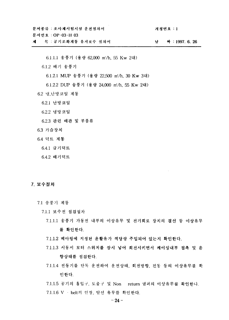문서번호 : OP-03-H 03

제 목 : 공기조화계통 유지보수 절차서 남 짜 : 1997. 6. 26

개정번호 : 1

6.1.1.1 송풍기 (용량 62,000 m'/h, 55 Kw 2대)

6.1.2 배기 송풍기

6.1.2.1 MUP 송풍기 (용량 22,500 m'/h, 30 Kw 3대)

6.1.2.2 DUP 송풍기 (용량 24,000 m'/h, 55 Kw 2대)

6.2 냉,난방코일 계통

- 6.2.1 난방코일
- 6.2.2 냉방코일

6.2.3 관련 배관 및 부품류

- 6.3 가습장치
- 6.4 덕트 계통
	- 6.4.1 급기덕트
	- 6.4.2 배기덕트

#### 7. 보수절차

- 7.1 송풍기 계동
	- 7.1.1 보수전 점검절차
		- 7.1.1.1 송풍기 가동전 내부의 이상유무 및 전기회로 장치의 결선 등 이상유무 를 확인한다.
		- 7.1.1.2 베아링에 지정된 윤활유가 적당량 주입되어 있는지 확인한다.
		- 7.1.1.3 시동시 모터 스위치를 잠시 넣어 회전시키면서 케이싱내부 접촉 및 음 향상태를 점검한다.
		- 7.1.1.4 전동기를 단독 운전하여 운전상태, 회전방향, 진동 등의 이상유무를 확 인한다.

7.1.1.5 공기의 흡입구, 토출구 및 Non return 댐퍼의 이상유무를 확인한다. 7.1.1.6 V · belt의 인장, 탈선 유무를 확인한다.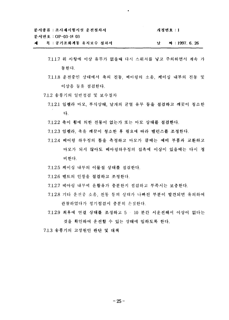개정번호 : 1

문서번호 : OP-03-H 03

목 : 공기조화계통 유지보수 절차서 <u>. 26</u> M. : 1997. 6. 26 제 남

- 7.1.1.7 위 사항에 이상 유무가 없을때 다시 스위치를 넣고 주의하면서 계속 가 동하다.
- 7.1.1.8 운전중인 상태에서 축의 진동, 베아링의 소음, 케이싱 내부의 진동 및 이상음 등을 점검한다.
- 7.1.2 송풍기의 일반점검 및 보수절차
	- 7.1.2.1 임펠라 마모, 부식상태, 날개의 균열 유무 등을 점검하고 깨끗이 청소한 다.
	- 7.1.2.2 축이 휨에 의한 진동이 없는가 또는 마모 상태를 점검한다.
	- 7.1.2.3 임펠라, 축을 깨끗이 청소한 후 필요에 따라 밸런스를 조정한다.
	- 7.1.2.4 베어링 하우징의 틈을 측정하고 마모가 클때는 예비 부품과 교환하고 마모가 되지 않아도 베아링하우징의 접촉에 이상이 있을때는 다시 정 비한다.
	- 7.1.2.5 케이싱 내부의 이물질 상태를 점검한다.
	- 7.1.2.6 벨트의 인장을 점검하고 조정한다.
	- 7.1.2.7 베아링 내부에 윤활유가 충분한지 점검하고 부족시는 보충한다.
	- 7.1.2.8 기타 운전중 소음, 진동 등의 상태가 나빠진 부분이 발견되면 유의하여 관찰하였다가 정기점검시 충분히 손질한다.
	- 7.1.2.9 최후에 연결 상태를 조정하고 5 · 10 분간 시운전해서 이상이 없다는 것을 확인하여 운전할 수 있는 상태에 임하도록 한다.

7.1.3 송풍기의 고장원인 판단 및 대책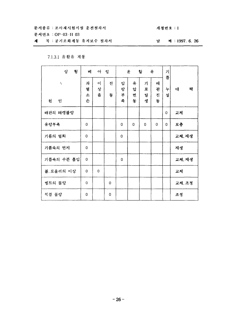# 개정번호:1

문서번호 : OP-03-H 03

제 목 : 공기조화계통 유지보수 절차서

### 날 짜 : 1997. 6. 26

# 7.1.3.1 윤활유 계통

| 상<br>황      | 베                | $\circ$     | 링      |                  | 윤                | 유<br>할           | 가<br>룸           |        |        |
|-------------|------------------|-------------|--------|------------------|------------------|------------------|------------------|--------|--------|
| X<br>원<br>인 | 과<br>열<br>소<br>손 | 이<br>상<br>음 | 진<br>동 | 압<br>랑<br>부<br>족 | 유<br>압<br>변<br>둥 | 기<br>포<br>밭<br>생 | 배<br>관<br>진<br>동 | 누<br>실 | 챽<br>대 |
| 배관의 패캥불량    |                  |             |        |                  |                  |                  |                  | 0      | 교체     |
| 유량부족        | 0                |             |        | 0                | $\Omega$         | $\Omega$         | $\Omega$         | 0      | 보충     |
| 기름의 열화      | 0                |             |        | 0                |                  |                  |                  |        | 교체, 재생 |
| 기름속의 먼지     | 0                |             |        |                  |                  |                  |                  |        | 재생     |
| 기름속의 수분 흡입  | 0                |             |        | 0                |                  |                  |                  |        | 교체, 재생 |
| 볼, 로울러의 이상  | 0                | $\mathbf 0$ |        |                  |                  |                  |                  |        | 교체     |
| 벨트의 불량      | $\Omega$         |             | 0      |                  |                  |                  |                  |        | 교체, 조정 |
| 직결 불량       | 0                |             | 0      |                  |                  |                  |                  |        | 조정     |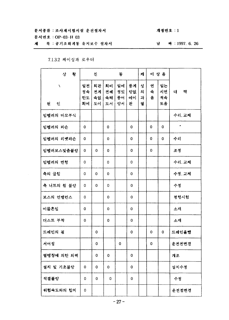문서번호 : OP-03-H 03

#### 목 : 공기조화계통 유지보수 절차서 제

# 개정번호 : 1

날 짜 : 1997. 6. 26

# 7.1.3.2 케이싱과 로우터

| 황<br>상              |                      | 진                    | 동                      |                      |                     | 케                | 이 상 옵       |                      |        |  |
|---------------------|----------------------|----------------------|------------------------|----------------------|---------------------|------------------|-------------|----------------------|--------|--|
| $\lambda$<br>인<br>원 | 일전<br>정속<br>한도<br>회에 | 희관<br>전계<br>속없<br>도이 | 회비<br>전례<br>속해  <br>도서 | 일에<br>정있<br>풍어<br>량서 | 풍계<br>량없<br>에이<br>관 | 싱<br>의<br>과<br>열 | 연<br>속<br>음 | 일는<br>시연<br>적속<br>또읍 | 책<br>대 |  |
| 임펠러의 마모부식           |                      |                      |                        |                      |                     |                  |             |                      | 수리, 교체 |  |
| 임펠러의 파손             | 0                    |                      | 0                      |                      | 0                   |                  | 0           | 0                    |        |  |
| 임펠러의 리벳파손           | 0                    |                      | 0                      |                      | 0                   |                  | 0           | 0                    | 수리     |  |
| 임펠러보스맟춤불량           | 0                    | 0                    | 0                      |                      | 0                   |                  | 0           |                      | 조정     |  |
| 임펠러의 변형             | 0                    |                      | 0                      |                      | 0                   |                  |             |                      | 수리, 교체 |  |
| 축의 굽힘               | 0                    | 0                    | 0                      |                      | 0                   |                  |             |                      | 수정, 교체 |  |
| 축 너트의 죔 불량          | 0                    | 0                    | 0                      |                      | 0                   |                  |             |                      | 수정     |  |
| 보스의 언밸런스            | 0                    |                      | 0                      |                      | 0                   |                  |             |                      | 명행시험   |  |
| 이물흔입                | 0                    |                      | 0                      |                      | 0                   |                  |             |                      | 소재     |  |
| 더스트 부착              | 0                    |                      | 0                      |                      | 0                   |                  |             |                      | 소재     |  |
| 드레인의 권              |                      | 0                    |                        |                      | 0                   |                  | 0           | 0                    | 드레인올뺌  |  |
| 서어징                 |                      | 0                    |                        | 0                    |                     |                  | 0           |                      | 운전전변경  |  |
| 열팽창에 의한 외력          |                      | 0                    | 0                      |                      | 0                   |                  |             |                      | 개조     |  |
| 설치 및 기초불량           | 0                    | 0                    | 0                      |                      | 0                   |                  |             |                      | 설치수정   |  |
| 직결불량                | 0                    | 0                    | 0                      |                      | 0                   |                  |             |                      | 수정     |  |
| 위험속도와의 합치           | 0                    |                      |                        |                      |                     |                  |             |                      | 운전점변경  |  |
|                     |                      |                      |                        | $-27-$               |                     |                  |             |                      |        |  |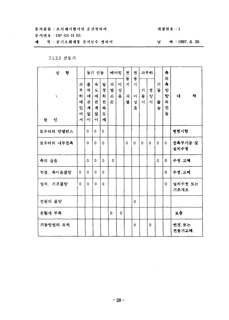개정번호 : 1

문서번호 : OP-03-H 03

제 목 : 공기조화계통 유지보수 절차서

# 날 짜 : 1997. 6. 26

# 7.1.3.3 전동기

| 상<br>황      |                                 |                                 | 동기 진동                           |                                  | 베아링              |                   | 건<br>동      | 전<br>동                 |             | 과부하         |                  | 측<br>의                     |                 |  |
|-------------|---------------------------------|---------------------------------|---------------------------------|----------------------------------|------------------|-------------------|-------------|------------------------|-------------|-------------|------------------|----------------------------|-----------------|--|
| N<br>원<br>인 | 과<br>부<br>하<br>에<br>있<br>어<br>서 | 출<br>력<br>에<br>긘<br>계<br>없<br>이 | 숙<br>도<br>에<br>관<br>계<br>없<br>이 | 일<br>정<br>회<br>전<br>속<br>도<br>٥Î | 과<br>열<br>소<br>손 | $\circ$<br>상<br>음 | 가<br>과<br>열 | 가<br>$\circ$<br>상<br>음 | 기<br>동<br>사 | 정<br>상<br>사 | 가<br>동<br>불<br>능 | 측<br>방<br>항<br>의<br>진<br>동 | 대<br>책          |  |
| 로우터의 언뱰런스   |                                 | $\Omega$                        | $\Omega$                        | 0                                |                  |                   |             |                        |             |             |                  |                            | 평형시험            |  |
| 로우터의 내부접촉   |                                 | $\Omega$                        | 0                               | O.                               |                  |                   | 0           | $\Omega$               | 0           | $\Omega$    | $\Omega$         | $\Omega$                   | 접촉부가공 및<br>설치수정 |  |
| 축의 굽음       |                                 | $\Omega$                        | 0                               | $\Omega$                         | 0                |                   |             |                        |             |             | $\Omega$         | $\mathbf 0$                | 수정, 교체          |  |
| 직결, 축이음불량   | $\Omega$                        | $\Omega$                        | $\Omega$                        | $\Omega$                         |                  |                   |             |                        |             |             |                  | 0                          | 수정, 교체          |  |
| 설치, 기초불량    | $\Omega$                        | $\Omega$                        | $\Omega$                        | $\Omega$                         |                  |                   |             |                        |             |             |                  | 0                          | 설치수정 또는<br>기초개조 |  |
| 전원의 불량      |                                 |                                 |                                 |                                  |                  |                   |             | $\Omega$               |             |             |                  |                            |                 |  |
| 운활재 부족      |                                 |                                 |                                 |                                  | 0                | 0                 |             |                        |             |             |                  |                            | 보충              |  |
| 기동방법의 오차    |                                 |                                 |                                 |                                  |                  |                   |             | $\Omega$               |             | 0           |                  |                            | 변경,또는<br>전동기교체  |  |

 $\sim 10$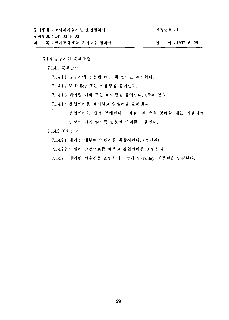개정번호 : 1

문서번호 : OP-03-H 03

목 : 공기조화계통 유지보수 절차서 날 짜 : 1997. 6. 26 제

7.1.4 송풍기의 분해조립

7.1.4.1 분해순서

7.1.4.1.1 송풍기에 연결된 배관 및 설비를 제거한다.

7.1.4.1.2 V-Pulley 또는 커플링을 풀어낸다.

7.1.4.1.3 베어링 카바 또는 베어링을 풀어낸다. (축과 분리)

7.1.4.1.4 흡입카바를 제거하고 임펠러를 풀어낸다.

흡입카바는 쉽게 분해된다. 임펠러와 측을 분해할 때는 임펠러에 손상이 가지 않도록 충분한 주의를 기울인다.

7.1.4.2 조립순서

7.1.4.2.1 케이싱 내부에 임펠러를 취합시킨다. (축연결)

7.1.4.2.2 임펠러 고정너트를 채우고 흡입카바를 조립한다.

7.1.4.2.3 베어링 하우징을 조립한다. 축에 V-Pulley, 커플링을 연결한다.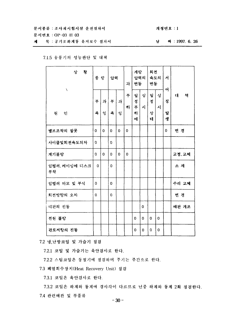#### 문서번호 : OP-03-H 03

제 목 : 공기조화계통 유지보수 절차서

# 날 짜 : 1997. 6. 26

개정번호 : 1

# 7.1.5 송풍기의 성능판단 및 대책

| 상 황<br>X            | 풍 량         |        | 압력          |          | 과            | 개량<br>변동              | 압력의      | 희전<br>속도의<br>변동  |        | 서<br>어       |        |
|---------------------|-------------|--------|-------------|----------|--------------|-----------------------|----------|------------------|--------|--------------|--------|
| 원<br>인              | 부<br>족      | 과<br>잉 | 부<br>족      | 과<br>പ്പ | 부<br>하       | 일<br>정<br>부<br>히<br>에 | 상<br>자   | 일<br>정<br>상<br>태 | 상<br>사 | 징<br>발<br>생  | 대<br>책 |
| 밸브조작의 잘못            | $\mathbf 0$ | 0      | 0           | 0        | $\mathbf 0$  |                       |          |                  |        | $\mathbf{0}$ | 변 경    |
| 사이클및회전속도의차          | 0           |        | 0           |          |              |                       |          |                  |        |              |        |
| 계기불량                | 0           | 0      | $\Omega$    | $\Omega$ | $\mathbf{0}$ |                       |          |                  |        |              | 교정, 교체 |
| 임펠러, 케이싱에 디스크<br>부착 | 0           |        | $\Omega$    |          |              |                       |          |                  |        |              | 스 재    |
| 임펠러 마모 및 부식         | 0           |        | $\mathbf 0$ |          |              |                       |          |                  |        |              | 수리 교체  |
| 회전방향의 오차            | 0           |        | $\mathbf 0$ |          |              |                       |          |                  |        |              | 변 경    |
| 배관의 진동              |             |        |             |          |              |                       | 0        |                  |        |              | 배관 개조  |
| 전원 불량               |             |        |             |          |              | $\Omega$              | $\Omega$ | $\Omega$         | 0      |              |        |
| 관로저항의 진동            |             |        |             |          |              | 0                     | 0        | 0                | 0      |              |        |

7.2 냉,난방코일 및 가습기 점검

7.2.1 코일 및 가습기는 육안검사로 한다.

7.2.2 스팀코일은 동절기에 점검하며 주기는 주간으로 한다.

7.3 페열회수장치(Heat Recovery Unit) 점검

7.3.1 코일은 육안검사로 한다.

7.3.2 코일은 하계와 동계에 경사각이 다르므로 년중 하계와 동계 2회 점검한다. 7.4 관련배관 및 부품류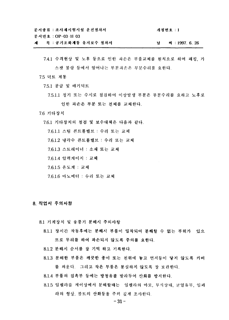개정번호 : 1

문서번호 : OP-03-H 03

목 : 공기조화계통 유지보수 절차서 날 짜 : 1997. 6. 26

7.4.1 수격현상 및 노후 등으로 인한 파손은 부품교체를 원칙으로 하며 패킹, 가 스캣 불량 등에서 일어나는 부분파손은 부분수리를 요하다.

7.5 덕트 계통

7.5.1 공급 및 배기덕트

7.5.1.1 정기 또는 수시로 점검하여 이상발생 부분은 부분수리를 요하고 노후로 인한 과손은 부분 또는 전체를 교체한다.

#### 7.6 기타장치

7.6.1 기타장치의 점검 및 보수대책은 다음과 같다.

7.6.1.1 스팀 콘트롤밸브 : 수리 또는 교체

7.6.1.2 냉각수 콘트롤밸브 : 수리 또는 교체

7.6.1.3 스트레이너 : 소재 또는 교체

7.6.1.4 압력게이지 : 교체

7.6.1.5 온도계 : 교체

7.6.1.6 마노메터 : 수리 또는 교체

8. 작업시 주의사항

8.1 기계장치 및 송풍기 분해시 주의사항

- 8.1.1 장시간 작동후에는 분해시 부품이 밀착되어 분해할 수 없는 부위가 있으 므로 무리를 하여 파손되지 않도록 주의를 요한다.
- 8.1.2 분해시 순서를 잘 기억 하고 기록하다.
- 8.1.3 분해한 부품은 깨끗한 종이 또는 천위에 놓고 먼지둥이 닿지 않도록 커버 를 씌운다. 그리고 작은 부품은 분실하지 않도록 잘 보관한다.

8.1.4 부품의 접촉부 등에는 방청유를 발라두어 산화를 방지한다.

8.1.5 임펠라를 케이싱에서 분해할때는 `임팰라의 마모, 부식상태, 균열유무, 임페 라의 형상, 볼트의 산화등을 주의 깊게 조사한다.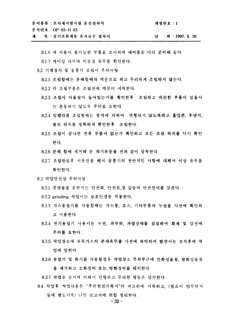| 문서종류 : 조사재시험시설 운전절차서    | 개정번호 : 1          |
|-------------------------|-------------------|
| 문서번호 : OP-03-H 03       |                   |
| 제 - 목 : 공기조화계통 유지보수 절차서 | ~ 서 : 1997. 6. 26 |

8.1.6 재 사용이 불가능한 부품을 조사하여 예비품을 미리 준비해 둔다.

8.1.7 케이싱 내부에 이물질 유무를 확인한다.

- 8.2 기계장치 및 송풍기 조립시 주의사항
	- 8.2.1 조립할때는 분해할때의 역순으로 하고 무리하게 조립하지 않는다.
	- 8.2.2 각 조립부품은 조립전에 깨끗이 세척한다.
	- 8.2.3 조립시 이물질이 들어있는가를 확인한후 "조립하고 비슷한 부품이 있을시 는 혼동하지 않도록 주의를 요한다.
	- 8.2.4 임펠라를 조립할때는 충격에 의하여 변형되지 않도록하고 흡입콘, 후랜지, 볼트 위치를 정확하게 확인한후 조립한다.
	- 8.2.5 조립이 끝나면 잔류 부품이 없는가 확인하고 모든 조립 위치를 다시 확인 한다.
	- 8.2.6 분해 할때 제거해 둔 계기류등을 전과 같이 장착한다.
	- 8.2.7 조립완료후 시운전을 해서 송풍기의 전반적인 사항에 대해서 이상 유무를 확인한다.
- 8.3 작업안전상 주의사항
	- 8.3.1 중량물을 운반시는 안전화, 안전모,장 갑둥의 안전장비를 갖춘다.
	- 8.3.2 grinding 작업시는 보호안경을 착용한다.
	- 8.3.3 가스용접기를 사용할때는 가스통, 호스, 기타부품의 누설을 사전에 확인하 고 사용한다.
	- 8.3.4 전기용접기 사용시는 누전, 과부하, 과열상태를 점검하여 화재 및 감전에 주의를 요한다.
	- 8.3.5 작업장소에 유독가스의 존재유무를 사전에 파악하여 발견시는 조치후에 작 업에 임한다.
	- 8.3.6 용접기 및 화기를 사용할경우 작업장소 주위부근에 인화성물질, 발화성물질 을 제거하고 소화장비 또는 방화장비를 배치한다.

8.3.7 작업은 순서에 의해서 진행하고 무리한 행동은 삼가한다.

8.4 작업후 작업내용은 "주간점검기록지"의 비고란에 기록하고, (필요시 업무일지 등에 별도기록) 년말 보고서에 취합 정리한다.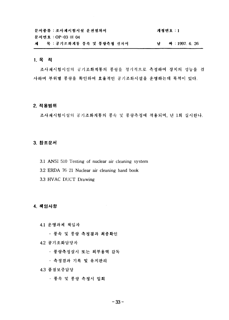|  | 문서종류 : 조사재시험시설 운전절차서         | 개정번호 : 1 |                          |
|--|------------------------------|----------|--------------------------|
|  | 문서번호 : OP-03-H 04            |          |                          |
|  | 제 - 목 : 공기조화계통 풍속 및 풍량측정 절차서 |          | <del>짜</del> : 1997.6.26 |

# 1. 목적

조사재시험시설의 공기조화계통의 풍량을 정기적으로 측정하여 장치의 성능을 검 사하며 부위별 풍량을 확인하여 효율적인 공기조화시설을 운영하는데 목적이 있다.

#### **2.**

조사재시험시설의 공기조화계통의 풍속 및 풍량측정에 적용되며, 년 1회 실시한다.

# **3.**

- 3.1 ANSI 510 Testing of nuclear air cleaning system
- 3.2 ERDA 76-21 Nuclear air cleaning hand book
- 3.3 HVAC DUCT Drawing

# **4.**

- 4.1 운영과제 책임자
	- 풍속 및 풍량 측정결과 최종확인
- **4.2**
	- 풍량측정실시 또는 외부용역 감독
	- 측정결과 기록 및 유지관리

### **4.3**

- 풍속 및 풍량 측정시 입회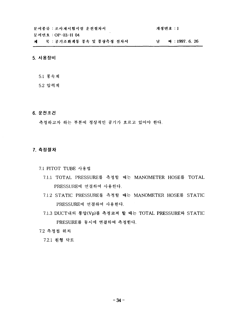문서종류 : 조사재시험시설 운전절차서 개정번호 : 1 문서번호 : OP-03-H 04 제 목 : 공기조화계통 풍속 및 풍량측정 전차서 날 짜 : 1997. 6. 26

#### 5. 사용장비

5.1 풍속계

5.2 압력계

6. 운전조건

측정하고자 하는 부분에 정상적인 공기가 흐르고 있어야 한다.

# 7. 측정절차

7.1 PITOT TUBE 사용법

- 7.1.1 TOTAL PRESSURE를 측정할 때는 MANOMETER HOSE를 TOTAL PRESSURE에 연결하여 사용한다.
- 7.1.2 STATIC PRESSURE를 측정할 때는 MANOMETER HOSE를 STATIC PRESSURE에 연결하여 사용한다.
- 7.1.3 DUCT내의 풍압(Vp)를 측정코져 할 때는 TOTAL PRESSURE와 STATIC PRESURE를 동시에 연결하여 측정한다.
- 7.2 측정점 위치

7.2.1 원형 닥트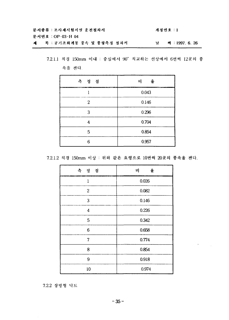| 문서종류 : 조사재시험시설 운전절차서       | 개정번호 : 1 |                          |
|----------------------------|----------|--------------------------|
| 문서번호 : OP-03-H 04          |          |                          |
| 제 목 : 공기조화계통 풍속 및 풍량측정 절차서 |          | <del>짜</del> : 1997.6.26 |

7.2.1.1 직경 150mm 이내 : 중심에서 90° 직교하는 선상에서 6번씩 12곳의 풍 속을 잰다.

| 측 정점 | 율<br>비<br>-- |
|------|--------------|
|      | 0.043        |
| 2    | 0.146        |
| 3    | 0.296        |
|      | 0.704        |
| 5    | 0.854        |
| Բ    | 0.957        |

7.2.1.2 직경 150mm 이상 : 위와 같은 요령으로 10번씩 20곳의 풍속을 잰다.

| 측 정 점            | 비<br>율 |
|------------------|--------|
| $\mathbf{1}$     | 0.026  |
| $\boldsymbol{2}$ | 0.082  |
| 3                | 0.146  |
| $\boldsymbol{4}$ | 0.226  |
| 5                | 0.342  |
| 6                | 0.658  |
| 7                | 0.774  |
| 8                | 0.854  |
| 9                | 0.918  |
| 10               | 0.974  |

 $\epsilon_{\rm{max}}=1$ 

7.2.2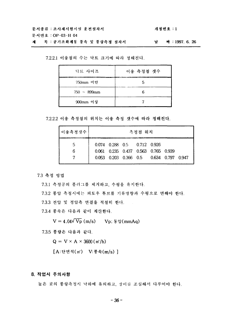개정번호 : 1

문서번호 : OP-03-H 04

목 : 공기조화계통 풍속 및 풍량측정 절차서 제 날 짜 : 1997. 6. 26

7.2.2.1 이송점의 수는 닥트 크기에 따라 정해진다.

| 닥트 사이즈         | 이송 측정점 갯수 |
|----------------|-----------|
| 750mm 미만       |           |
| $750 - 899$ mm |           |
| 900mm 이상       |           |

7.2.2.2 이송 측정점의 위치는 이송 측정 갯수에 따라 정해진다.

| │이송측정갯수│ |  |  | 측정점 위치<br>0.074 0.288 0.5 0.712 0.926 | 0.061 0.235 0.437 0.563 0.765 0.939 | 0.053 0.203 0.366 0.5 0.634 0.797 0.947 |
|----------|--|--|---------------------------------------|-------------------------------------|-----------------------------------------|

7.3 측정 방법

7.3.1 측정공의 플러그를 제거하고, 수평을 유지한다.

7.3.2 풍압 측정시에는 피토우 튜브를 기류방향과 수평으로 면해야 한다.

7.3.3 전압 및 정압측 연결을 적절히 한다.

7.3.4 풍속은 다음과 같이 계산한다.

 $V = 4.04\sqrt{V_p}$  (m/s)  $V_p$ ;  $\frac{1}{2}$  (mmAq)

7.3.5 풍량은 다음과 같다.

 $Q = V \times A \times 3600$  (m'/h)

[A:단면적(m') V:풍속(m/s)]

# 8. 작업시 주의사항

높은 곳의 풍량측정시 낙하에 유의하고, 상비를 조심해서 다루어야 한다.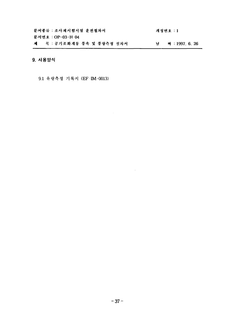| 문서종류 : 조사재시험시설 운전절차서         |  |  | 개정번호 : 1                   |
|------------------------------|--|--|----------------------------|
| 문서번호 : OP-03-H 04            |  |  |                            |
| 제 _ 목 : 공기조화계통 풍속 및 풍량측정 절차서 |  |  | <del>짜</del> : 1997. 6. 26 |

 $\sim 1000$ 

# 9. 사용양식

9.1 유량측정 기록지 (EF-IM-0013)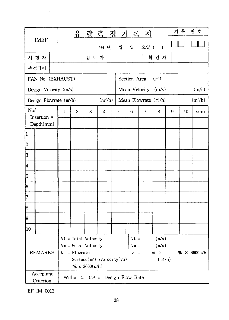| <b>IMEF</b>            |                            |                                                                                                                                  |              |                |       | 유 량 측 정 기 록 지 |                                      |                 |                                                |                       | 기 록         | 번 호 |                     |
|------------------------|----------------------------|----------------------------------------------------------------------------------------------------------------------------------|--------------|----------------|-------|---------------|--------------------------------------|-----------------|------------------------------------------------|-----------------------|-------------|-----|---------------------|
|                        |                            |                                                                                                                                  |              |                |       | 199 년         | 월                                    | 일               | 요일 (                                           | $\rightarrow$         |             |     |                     |
|                        | 시 험 자                      |                                                                                                                                  |              |                | 검 토 자 |               |                                      |                 |                                                | 확 인 자                 |             |     |                     |
|                        | 측정장비                       |                                                                                                                                  |              |                |       |               |                                      |                 |                                                |                       |             |     |                     |
|                        | FAN No. (EXHAUST)          |                                                                                                                                  |              |                |       |               |                                      | Section Area    |                                                | (m')                  |             |     |                     |
|                        | Design Velocity (m/s)      |                                                                                                                                  |              |                |       |               |                                      |                 |                                                | Mean Velocity $(m/s)$ |             |     | (m/s)               |
|                        | Design Flowrate $(m/h)$    |                                                                                                                                  |              |                |       | $(m^3/h)$     |                                      |                 |                                                | Mean Flowrate $(m/h)$ |             |     | (m <sup>3</sup> /h) |
| No/                    |                            |                                                                                                                                  | $\mathbf{1}$ | $\overline{c}$ | 3     | 4             | 5                                    | 6               | $\overline{\mathcal{U}}$                       | 8                     | 9           | 10  | sum                 |
|                        | Insertion $=$<br>Depth(mm) |                                                                                                                                  |              |                |       |               |                                      |                 |                                                |                       |             |     |                     |
| 1                      |                            |                                                                                                                                  |              |                |       |               |                                      |                 |                                                |                       |             |     |                     |
| $\overline{c}$         |                            |                                                                                                                                  |              |                |       |               |                                      |                 |                                                |                       |             |     |                     |
| 3                      |                            |                                                                                                                                  |              |                |       |               |                                      |                 |                                                |                       |             |     |                     |
| 4                      |                            |                                                                                                                                  |              |                |       |               |                                      |                 |                                                |                       |             |     |                     |
| ļ5                     |                            |                                                                                                                                  |              |                |       |               |                                      |                 |                                                |                       |             |     |                     |
| 16                     |                            |                                                                                                                                  |              |                |       |               |                                      |                 |                                                |                       |             |     |                     |
| 17                     |                            |                                                                                                                                  |              |                |       |               |                                      |                 |                                                |                       |             |     |                     |
| 18                     |                            |                                                                                                                                  |              |                |       |               |                                      |                 |                                                |                       |             |     |                     |
| 9                      |                            |                                                                                                                                  |              |                |       |               |                                      |                 |                                                |                       |             |     |                     |
| 10                     |                            |                                                                                                                                  |              |                |       |               |                                      |                 |                                                |                       |             |     |                     |
| <b>REMARKS</b>         |                            | $Vt = Total Velocity$<br>$V_m$ = Mean Velocity<br>$Q =$ Flowrate<br>= Surface( $m2$ ) xVelocity(Vm)<br>$\frac{m}{3}$ x 3600(s/h) |              |                |       |               | $Vm =$<br>Q                          | $\equiv$<br>$=$ | $Vt = (m/s)$<br>(m/s)<br>$m^2 \times$<br>(m/h) |                       | % × 3600s/h |     |                     |
| Acceptant<br>Criterion |                            |                                                                                                                                  |              |                |       |               | Within $\pm$ 10% of Design Flow Rate |                 |                                                |                       |             |     |                     |

EF-IM-0013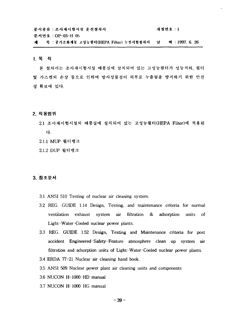| 문서종류 : 조사재시험시설 운전절차서                      |   | 개정번호 : 1        |
|-------------------------------------------|---|-----------------|
| 문서번호 : OP-03-H 05                         |   |                 |
| 제 - 목 : 공기조화계통 고성능필터(HEPA Filter) 누설시험절차서 | 날 | 짜 : 1997. 6. 26 |

1. 목적

본 절차서는 조사재시험시설 배풍실에 설치되어 있는 고성능필터가 성능저하, 필터 및 가스켓의 손상 둥으로 인하여 방사성물질이 외부로 누출됨을 방지하기 위한 안전 성 확보에 있다.

- 2. 적용범위
	- 2.1 조사재시험시설의 배풍실에 설치되어 있는 고성능필터(HEPA Filter)에 다.
	- 2.1.1 MUP
	- 2.1.2 DUP

# **3.**

- 3.1 ANSI 510 Testing of nuclear air cleaning system.
- 3.2 REG. GUIDE 1.14 Design, Testing, and maintenance criteria for normal ventilation exhaust system air filtration & adsorption units of Light-Water-Cooled nuclear power plants.
- 3.3 REG. GUIDE 1.52 Design, Testing and Maintenance criteria for post accident Engineered-Safety-Feature atmosphere clean up system air filtration and adsorption units of Light-Water-Cooled nuclear power plants.
- 3.4 ERDA 77-21 Nuclear air cleaning hand book.
- 3.5 ANSI 509 Nuclear power plant air cleaning units and components
- 3.6 NUCON H-1000-HD manual
- 3.7 NUCON H-1000 HG manual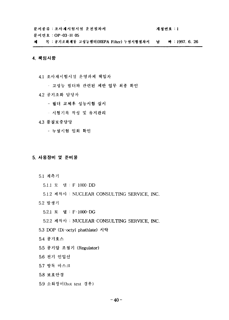$\sim$ 

게정번호 : 1

문서번호 : OP-03-H 05

제 목 : 공기조화계동 고성능필터(HEPA Filter) 누설시험절차서 날 짜 : 1997. 6. 26

#### 4. 책임사항

4.1 조사재시험시설 운영과제 책임자

- 고성능 필터와 관련된 제반 업무 최종 확인
- 4.2 공기조화 담당자
	- 필터 교체후 성능시험 실시
	- 시험기록 작성 및 유지관리

### 4.3 품질보증담당

- 누설시험 입회 확인

#### 5. 사용장비 및 준비물

- 5.1 계측기
	- 5.1.1 모 델 : F 1000-DD
	- 5.1.2 제작사 : NUCLEAR CONSULTING SERVICE, INC.
- 5.2 발생기
	- 5.2.1 모 델 : F-1000-DG

5.2.2 제작사 : NUCLEAR CONSULTING SERVICE, INC.

- 5.3 DOP (Di-octyl phathlate) 시약
- 5.4 공기호스
- 5.5 공기압 조절기 (Regulator)
- 5.6 전기 인입선
- 5.7 방독 마스크
- 5.8 보호안경
- 5.9 소화장비(hot test 경우)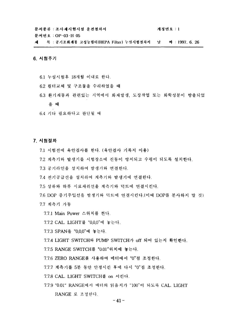개정번호 : 1

문서번호: OP-03-H 05

목 : 공기조화계통 고성능필터(HEPA Filter) 누설시험절차서 \_ 날 外:1997.6.26 계

# 6. 시험주기

- 6.1 누설시험후 18개월 이내로 한다.
- 6.2 필터교체 및 구조물을 수리하였을 때
- 6.3 환기계통과 관련있는 지역에서 화재발생, 도장작업 또는 화학성분이 방출되었 을 때
- 6.4 기타 필요하다고 판단될 때

### 7. 시험절차

- 7.1 시험전에 육안검사를 한다. (육안검사 기록지 이용)
- 7.2 계측기와 발생기를 시험장소에 진동이 방지되고 수평이 되도록 설치한다.
- 7.3 공기라인을 설치하여 발생기와 연결한다.
- 7.4 전기공급선을 설치하여 계측기와 발생기에 연결한다.
- 75 상류와 하류 시료채취선을 계측기와 덕트에 연결시킨다.
- 7.6 DOP 중기주입선을 발생기와 덕트에 연결시킨다. (이때 DOP를 분사하지 말 것) 7.7 계측기 가동
	- 7.7.1 Main Power 스위치를 켠다.
	- 7.7.2 CAL. LIGHT를 "0,0,0"에 놓는다.
	- 7.7.3 SPAN을 "0,0,0"에 놓는다.
	- 7.7.4 LIGHT SWITCH와 PUMP SWITCH가 off 되어 있는지 확인한다.
	- 7.7.5 RANGE SWITCH를 "0.01"위치에 놓는다.
	- 7.7.6 ZERO RANGE를 사용하여 메터에서 "0"점 조정한다.
	- 7.7.7 계측기를 5분 동안 안정시킨 후에 다시 "0"점 조정한다.
	- 7.7.8 CAL. LIGHT SWITCH를 on 시킨다.
	- 7.7.9 "0.01" RANGE에서 메터의 읽음치가 "100"이 되도록 CAL. LIGHT RANGE 로 조정한다.

 $-41-$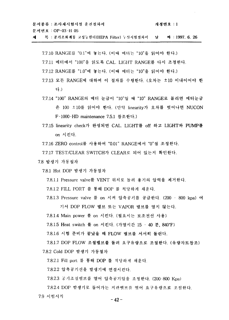| 문서종류 : 조사재시험시설 운전절차서 | 개정번호 : 1 |
|----------------------|----------|
| 문서번호 : OP-03-H 05    |          |

목 : 공기조화계통 고성능필터(IIEPA Filter) 누실시험절차서 날 짜 : 1997. 6. 26 제

7.7.10 RANGE를 "0.1"에 놓는다. (이때 메터는 "10"을 읽어야 한다.)

7.7.11 메터에서 "100"을 읽도록 CAL. LIGHT RANGE를 다시 조정한다.

7.7.12 RANGE를 "1.0"에 놓는다. (이때 메터는 "10"을 읽어야 한다.)

- 7.7.13 모든 RANGE에 대하여 이 절차를 수행한다. (오차는 ±10 이내이어야 한 다.)
- 7.7.14 "100" RANGE의 메터 눈금이 "10"일 때 "10" RANGE로 돌리면 메터눈금 은 100 ±10를 읽어야 한다. (만약 linearity가 오차를 벗어나면 NUCON F-1000-HD maintenance 7.5.1 참조한다.)
- 7.7.15 linearity check가 완성되면 CAL. LIGHT를 off 하고 LIGHT와 PUMP를 on 시킨다.
- 7.7.16 ZERO control를 사용하여 "0.01" RANGE에서 "0"점 조정한다.

7.7.17 TEST/CLEAR SWITCH가 CLEAR로 되어 있는지 확인한다.

7.8 발생기 가동절차

7.8.1 Hot DOP 발생기 가동절차

7.8.1.1 Pressure valve를 VENT 위치로 돌려 용기의 압력을 제거한다.

7.8.1.2 FILL PORT 를 통해 DOP 를 적당하게 채운다.

7.8.1.3 Pressure valve 를 on 시켜 압축공기를 공급한다. (200 – 800 kpa) 여 기서 DOP FLOW 밸브 또는 VAPOR 밸브를 열지 않는다.

7.8.1.4 Main power 를 on 시킨다. (필요시는 보조전선 사용)

7.8.1.5 Heat switch 를 on 시킨다. (가열시간 15 - 40 분, 840°F)

7.8.1.6 시험 준비가 끝났을 때 FLOW 밸브를 서서히 돌린다.

7.8.1.7 DOP FLOW 조절밸브를 돌려 요구유량으로 조절한다. (유량차트참조) 7.8.2 Cold DOP 발생기 가동절차

7.8.2.1 Fill port 를 통해 DOP 를 적당하게 채운다.

7.8.2.2 압축공기선을 발생기에 연결시킨다.

7.8.2.3 공기조절밸브를 열어 압축공기압을 조정한다. (200-800 Kpa)

7.8.2.4 DOP 발생기로 들어가는 지관밸브를 열어 요구유량으로 조절한다. 7.9 시험시작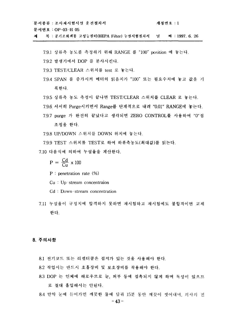문서종류 : 조사재시험시설 운전절차서 개정번호 : 1 문서번호: OP-03-H 05

- 목 : 공기조화계통 고성능필터(HEPA Filter) 누설시험절차서 널 짜 : 1997. 6. 26 제
	- 7.9.1 상류측 농도를 측정하기 위해 RANGE 를 "100" position 에 놓는다.
	- 7.9.2 발생기에서 DOP 를 분사시킨다.
	- 7.9.3 TEST/CLEAR 스위치를 test 로 놓는다.
	- 7.9.4 SPAN 를 증가시켜 메터의 읽음치가 "100" 또는 필요수치에 놓고 값을 기 록한다.
	- 7.9.5 상류측 농도 측정이 끝나면 TEST/CLEAR 스위치를 CLEAR 로 놓는다.
	- 7.9.6 서서히 Purge시키면서 Range를 단계적으로 내려 "0.01" RANGE에 놓는다.
	- 7.9.7 purge 가 완전히 끝났다고 생각되면 ZERO CONTROL를 사용하여 "0"점 조정을 한다.
	- 7.9.8 UP/DOWN 스위치를 DOWN 위치에 놓는다.

7.9.9 TEST 스위치를 TEST로 하여 하류측농도(최대값)를 읽는다.

7.10 다음식에 의하여 누설율을 계산한다.

 $P = \frac{Cd}{Cu} \times 100$ 

- $P :$  penetration rate  $(%)$
- $Cu : Up-stream concentration$
- Cd: Down-stream concentration
- 7.11 누설율이 규정치에 합격하지 못하면 재시험하고 재시험에도 불합격이면 교체 한다.

#### 8. 주의사항

- 8.1 전기코드 또는 리셉터클은 접지가 있는 것을 사용해야 한다.
- 8.2 작업시는 반드시 호흡장비 및 보호장비를 착용해야 한다.
- 8.3 DOP 는 인체에 해로우므로 눈, 피부 등에 접촉되지 않게 하며 독성이 있으므 로 절대 흡입해서는 안된다.
- 8.4 만약 눈에 들어가면 깨끗한 물에 담궈 15분 동안 깨끗이 씻어내며 의사의 진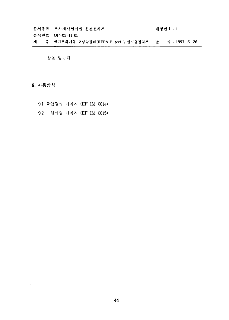문서종류 : 조사재시험시설 운전절차서 **: 개정번호 : 1** 문서번호 : OP-03-H 05 Filter) 누설시험<mark>절차서 날 짜 : 1997. 6. 26</mark>

찰을 받는다.

**9.**

 $\sim$ 

9.1 육안검사 기록지 (EF-IM-0014)

9.2 누설시험 기록지 (EF-IM-0015)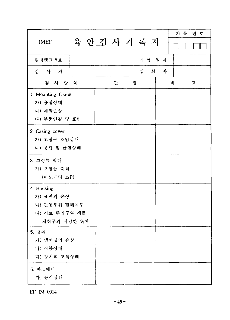| <b>IMEF</b>                                             | 육 안 검 사 기 록 지 |         |     | 기록 번호 |
|---------------------------------------------------------|---------------|---------|-----|-------|
| 필터뱅크번호                                                  |               | 시 험 일 자 |     |       |
| 검 사 자                                                   |               | 입       | 회 자 |       |
| 검 사 항 목                                                 | 판             | 정       | 비   | 고     |
| 1. Mounting frame<br>가) 용접상태<br>나) 재질손상<br>다) 부품연결 및 표면 |               |         |     |       |
| 2. Casing cover<br>가) 고정구 조임상태<br>나) 용접 및 균열상태          |               |         |     |       |
| 3. 고성능 필터<br>가) 오염물 축적<br>(마노메터 △P)                     |               |         |     |       |
| 4. Housing                                              |               |         |     |       |
| 가) 표면의 손상<br>나) 관통부위 밀폐여부                               |               |         |     |       |
| 다) 시료 주입구와 샘플<br>채취구의 적당한 위치                            |               |         |     |       |
| 5. 댐퍼                                                   |               |         |     |       |
| 가) 댐퍼깃의 손상                                              |               |         |     |       |
| 나) 작동상태<br>다) 장치의 조임상태                                  |               |         |     |       |
| 6. 마노메터<br>가) 동작상태                                      |               |         |     |       |

 $EF$ -IM $-0014$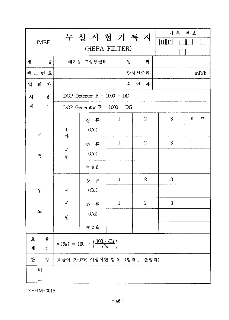EF-IM-0015

| <b>IMEF</b>        |        | 누설 시 험 기 록 지<br>(HEPA FILTER)                           | 기록 번호<br>[H F] |                  |   |      |  |  |  |
|--------------------|--------|---------------------------------------------------------|----------------|------------------|---|------|--|--|--|
| 통<br>계             |        | 날<br>짜<br>배기용 고성능필터                                     |                |                  |   |      |  |  |  |
| 뱅 크 번 호            |        |                                                         |                | 방사선준위            |   | mR/h |  |  |  |
| 입<br>회 자           |        | 확 인 자                                                   |                |                  |   |      |  |  |  |
| $\frac{2}{5}$<br>사 |        | DOP Detector $F - 1000 - DD$                            |                |                  |   |      |  |  |  |
| 가<br>계             |        | DOP Generator F - 1000 - DG                             |                |                  |   |      |  |  |  |
|                    |        | 상 류                                                     | $\mathbf{1}$   | $\boldsymbol{2}$ | 3 | 비 고  |  |  |  |
| 계                  | 1<br>차 | (Cu)                                                    |                |                  |   |      |  |  |  |
|                    |        | 하 류                                                     | $\mathbf{1}$   | $\boldsymbol{2}$ | 3 |      |  |  |  |
| 측                  | 사<br>험 | (Cd)                                                    |                |                  |   |      |  |  |  |
|                    |        | 누설율                                                     |                |                  |   |      |  |  |  |
|                    |        | 상 류                                                     | $\mathbf{1}$   | $\overline{c}$   | 3 |      |  |  |  |
| 농                  | 재      | (Cu)                                                    |                |                  |   |      |  |  |  |
|                    | 시      | 하 류                                                     | $\mathbf{1}$   | $\overline{2}$   | 3 |      |  |  |  |
| $\mathbf E$        | 험      | (Cd)                                                    |                |                  |   |      |  |  |  |
|                    |        | 누설율                                                     |                |                  |   |      |  |  |  |
| 율<br>査             |        | $\eta(\%) = 100 - \left(\frac{100 \cdot Cd}{Cu}\right)$ |                |                  |   |      |  |  |  |
| 산<br>계             |        |                                                         |                |                  |   |      |  |  |  |
| 판<br>정             |        | 효율이 99.97% 이상이면 합격 (합격, 불합격)                            |                |                  |   |      |  |  |  |
| 비                  |        |                                                         |                |                  |   |      |  |  |  |
| 고                  |        |                                                         |                |                  |   |      |  |  |  |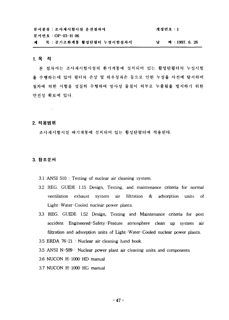| 문서종류 : 조사재시험시설 운전절차서       |  | 개정번호 : 1      |
|----------------------------|--|---------------|
| 문서번호 : OP-03-H 06          |  |               |
| 제 목 : 공기조화계통 활성탄필터 누설시험절차서 |  | 짜 : 1997.6.26 |

#### **1.**

본 절차서는 조사재시험시설의 환기계통에 설치되어 있는 활성탄필터의 누설시험 올 수행하는데 있어 필터의 손상 및 하우징파손 등으로 인한 누설을 사전에 탐지하며 절차에 의한 시험을 성실히 수행하여 방사성 물질이 외부로 누출됨을 방지하기 위한 안전성 확보에 있다.

# **2.**

 $\alpha$ 

조사재시험시설 배기계통에 설치되어 있는 활성탄필터에 적용된다.

## **3.**

- 3.1 ANSI 510 : Testing of nuclear air cleaning system.
- 3.2 REG. GUIDE 1.15 Design, Testing, and maintenance criteria for normal ventilation exhaust system air filtration & adsorption units of Light-Water-Cooled nuclear power plants.
- 3.3 REG. GUIDE 1.52 Design, Testing and Maintenance criteria for post accident Engineered-Safety-Feature atmosphere clean up system air filtration and adsorption units of Light Water-Cooled nuclear power plants.
- 3.5 ERDA 76-21 : Nuclear air cleaning hand book.
- 3.5 ANSI N-509 : Nuclear power plant air cleaning units and components
- 3.6 NUCON H-1000-HD manual
- 3.7 NUCON H-1000-HG manual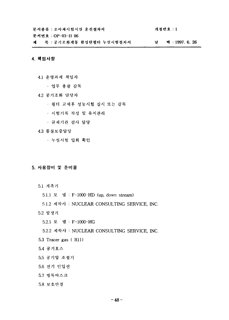문서종류 : 조사재시험시설 운전절차서 개정번호 : 1 문서번호 : OP-03-H 06 제 목 : 공기조화계통 환성탄필터 누설시험철차서 날 짜 : 1997. 6. 26

# **4.**

- 4.1 운영과제 책임자
	- 업무 총괄 감독
- **4.2**
	- 필터 교체후 성능시험 실시 또는 감독
	- 시험기록 작성 및 유지관리
	- 규제기관 검사 담당
- **4.3**
	- 누설시험 입회 확인

# 5. 사용장비 및 준비물

- 5.1 계측기
	- 5.1.1 모 델 : F-1000-HD (up, down stream)
	- 5.1.2 *A^>\ •* NUCLEAR CONSULTING SERVICE, INC.
- 5.2 발생기
	- 5.2.1 *S.* "S : F-1000-HG
	- 5.2.2 제작사 : NUCLEAR CONSULTING SERVICE, INC.
- 5.3 Tracer gas (R11)
- 5.4 공기호스
- **5.5**
- **5.6**
- **5.7**
- **5.8**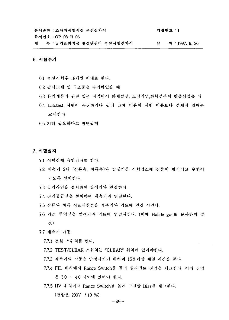개정번호 : 1

문서번호 : OP-03-H 06

제 목 : 공기조화계통 활성탄필터 누설시험절차서 남 **24:1997.6.26** 

#### **6.**

- 6.1 누설시험후 18개월 이내로 한다.
- 6.2 필터교체 및 구조물을 수리하였을 때
- 6.3 환기계통과 관련 있는 지역에서 화재발생, 도장작업,화학성분이 방출되었을 때
- 6.4 Lab.test 시행이 곤란하거나 필터 교체 비용이 시험 비용보다 경제적 임때는 교체한다.
- **6.5 기타 필요하다고 판단될때**

#### 7. 시험점차

- 7.1 시험전에 육안검사를 한다.
- 7.2 계측기 2대 (상류측, 하류측)와 발생기를 시험장소에 진동이 방지되고 수평이 되도록 설치한다.
- 7.3 공기라인을 설치하여 발생기와 연결한다.
- 7.4 전기공급선을 설치하여 계측기와 연결한다.
- 7.5 상류와 하류 시료채취선을 계측기와 덕트에 연결 시킨다.
- 7.6 가스 주입선을 발생기와 덕트에 연결시킨다. (이때 Halide gas를 분사하지 말 것)
- 7.7 계측기 가동
	- 7.7.1 전원 스위치를 켠다.
	- 7.7.2 TEST/CLEAR 스위치는 "CLEAR" 위치에 있어야한다.
	- 7.7.3 계측기의 작동을 안정시키기 위하여 15분이상 예열 시간을 둔다.
	- 7.7.4 FIL 위치에서 Range Switch를 돌려 필라멘트 전압을 체크한다. 이때 전압 은 3.0 ~ 4.0 사이에 있어야 한다.
	- 7.7.5 HV 위치에서 Range Switch를 돌려 고전압 Bias를 체크하다.

(전압은 200V ±10 %)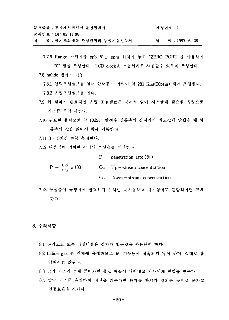| 문서종류 : 조사재시험시설 운전절차서       | 개정번호 : 1      |
|----------------------------|---------------|
| 문서번호 : OP-03-H 06          |               |
| 제 목 : 공기조화계통 활성단필터 누설시험절차서 | 짜 : 1997.6.26 |

- 7.7.6 Range 스위치를 ppb 또는 ppm 위치에 놓고 "ZERO PORT"를 사용하여 "0" 점을 조정한다. LCD clock을 스톱워치로 사용할수 있도록 조정한다.
- 7.8 halide 발생기 가동

7.8.1 압력조절밸브를 열어 압축공기 압력이 약 280 Kpa(50psig) 되게 조정한다. 7.8.2 유량조절밸브를 연다.

- 7.9 위 절차가 완료되면 유량 조절밸브를 서서히 열어 시스템에 필요한 유량으로 가스를 주입 시킨다.
- 7.10 필요한 유량으로 약 10초간 발생후 상류측의 감지기가 최고값에 달했을 때 하 류측의 값을 읽어서 함께 기록한다.
- 7.11 3~ 5회간 반복 측정한다.
- 7.12 다음식에 의하여 각각의 누설율을 계산한다.

 $P$  : penetration rate  $(\%)$ 

 $P = \frac{Cd}{Cu} \times 100$  $Cu : Up - stream concentra tion$ 

 $Cd : Down - stream: concentra tion$ 

7.13 누설율이 규정치에 합격하지 못하면 재시험하고 재시험에도 불합격이면 교체 한다.

8. 주의사항

- 8.1 전기코드 또는 리셉터클은 접지가 있는것을 사용해야 한다.
- 8.2 halide gas 는 인체에 유해하므로 눈, 피부등에 접촉되지 않게 하며, 절대로 흡 입해서는 않된다.
- 8.3 만약 가스가 눈에 들어가면 물로 깨끗이 씻어내고 의사에게 진찰을 받는다.
- 8.4 만약 가스를 흡입하여 정신을 잃는다면 환자를 환기가 잘되는 곳으로 옮기고 인공호흡을 시킨다.

 $-50-$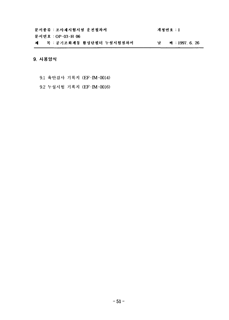| 문서종류 : 조사재시험시설 운전절차서       | 개 저 번 호 : 1   |
|----------------------------|---------------|
| 문서번호 : OP-03-H 06          |               |
| 제 목 : 공기조화계통 활성탄필터 누설시험절차서 | 짜 : 1997.6.26 |

# 9. 사용양식

- 9.1 육안검사 기록지 (EF-IM-0014)
- 9.2 누설시험 기록지 (EF-IM-0016)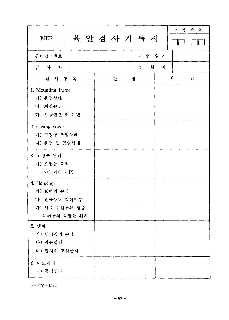| <b>IMEF</b>                                              |             |   | 육 안 검 사 기 록 지 |   | 기록 번호  |
|----------------------------------------------------------|-------------|---|---------------|---|--------|
| 필터뱅크번호                                                   |             |   | 시험 일자         |   |        |
| 검 사 자                                                    |             |   | 입<br>회        | 자 |        |
| 검 사 항 목                                                  |             | 판 | 정             |   | 비<br>고 |
| 1. Mounting frame<br>가) 용접상태<br>나) 재질손상<br>다) 부품연결 및 표면  |             |   |               |   |        |
| 2. Casing cover<br>가) 고정구 조임상태<br>나) 용접 및 균열상태           |             |   |               |   |        |
| 3. 고성능 필터<br>가) 오염물 축적<br>(마노메터 △P)                      |             |   |               |   |        |
| 4. Housing<br>가) 표면의 손상<br>나) 관통부위 밀폐여부<br>다) 시료 주입구와 샘플 | 채취구의 적당한 위치 |   |               |   |        |
| 5. 댐퍼<br>가) 댐퍼깃의 손상<br>나) 작동상태<br>다) 장치의 조임상태            |             |   |               |   |        |
| 6. 마노메터<br>가) 동작상태                                       |             |   |               |   |        |

 $EF$ -IM-0014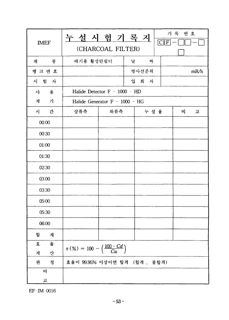$EF$  -IM-0016

|             | <u>누 설 시 험 기 록 지</u>                                    |                               |       |      | 기록 번호   |  |
|-------------|---------------------------------------------------------|-------------------------------|-------|------|---------|--|
| <b>IMEF</b> | (CHARCOAL FILTER)                                       |                               |       |      | $C$ $F$ |  |
| 통<br>계      | 배기용 활성탄필터                                               |                               | 날     | 찌    |         |  |
| 뱅크번호        |                                                         |                               | 방사선준위 |      | mR/h    |  |
| 시 험 자       |                                                         |                               | 입 회 자 |      |         |  |
| 사<br>용      |                                                         | Halide Detector F - 1000 - HD |       |      |         |  |
| 계<br>가      | Halide Generator F - 1000 - HG                          |                               |       |      |         |  |
| 간<br>시      | 상류측                                                     | 하류측                           |       | 누설 율 | 비.<br>고 |  |
| 00:00       |                                                         |                               |       |      |         |  |
| 00:30       |                                                         |                               |       |      |         |  |
| 01:00       |                                                         |                               |       |      |         |  |
| 01:30       |                                                         |                               |       |      |         |  |
| 02:30       |                                                         |                               |       |      |         |  |
| 03:00       |                                                         |                               |       |      |         |  |
| 03:30       |                                                         |                               |       |      |         |  |
| 05:00       |                                                         |                               |       |      |         |  |
| 05:30       |                                                         |                               |       |      |         |  |
| 06:00       |                                                         |                               |       |      |         |  |
| 합<br>계      |                                                         |                               |       |      |         |  |
| 율<br>효      |                                                         |                               |       |      |         |  |
| 산<br>계      | $\eta (%) = 100 - \left(\frac{100 \cdot Cd}{Cu}\right)$ |                               |       |      |         |  |
| 정<br>판      | 효율이 99.95% 이상이면 합격 (합격, 불합격)                            |                               |       |      |         |  |
| H           |                                                         |                               |       |      |         |  |
| 고           |                                                         |                               |       |      |         |  |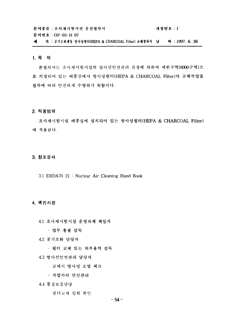문서종류 : 조사재시험시설 운전절차서 개정번호 : 1 문서번호 : OP-03-H 07 제 목 : 공기조화계통 방사성필터(HEPA & CHARCOAL Filter) 교체절차서 날 짜 : 1997. 6. 26

#### 1. 목 적

본절차서는 조사재시험시설의 방사선안전관리 규정에 의하여 제한구역(8000구역)으 로 지정되어 있는 배풍실에서 방사성필터(HEPA & CHARCOAL Filter)의 교체작업을 절차에 따라 안전하게 수행하기 위함이다.

#### 2. 적용범위

조사재시험시설 배풍실에 설치되어 있는 방사성필터(HEPA & CHARCOAL Filter) 에 적용된다.

#### 3. 참조문서

3.1 ERDA76-21: Nuclear Air Cleaning Hand Book

# 4. 책임사항

4.1 조사재시험시설 운영과제 책임자

- 업무 총괄 감독

4.2 공기조화 담당자

- 필터 교체 또는 외부용역 감독

4.3 방사선안전관리 담당자

○ 교체시 방사성 오염 체크

- 작업자의 안전관리

4.4 품질보증담당

필터교체 입회 확인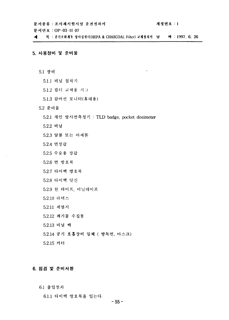$\epsilon$ 

문서번호: OP-03-H 07

제 목 : 공기조화계동 방사성필터(HEPA & CHARCOAL Filter) 교체절차서 날 짜 : 1997. 6. 26

# 5. 사용장비 및 준비물

- 5.1 장비
	- 5.1.1 비닐 접착기
	- 5.1.2 필터 교체용 지그
	- 5.1.3 감마선 모니터(휴대용)
- 5.2 준비물
	- 5.2.1 개인 방사선측정기 : TLD badge, pocket dosimeter
	- 5.2.2 비닐
	- 5.2.3 알콜 또는 아세톤
	- 5.2.4 면장갑
	- 5.2.5 수술용 장갑
	- 5.2.6 면 방호복
	- 5.2.7 타이백 방호복
	- 5.2.8 타이백 덧신
	- 5.2.9 천 테이프, 비닐테이프
	- 5.2.10 라텍스
	- 5.2.11 제염지
	- 5.2.12 폐기물 수집통
	- 5.2.13 비닐 백
	- 5.2.14 공기 호흡장비 일체 ( 방독면, 마스크)
	- 5.2.15 커터

# 6. 점검 및 준비사항

61 출입절차

6.1.1 타이백 방호복을 입는다.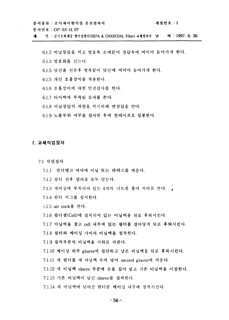개정번호 : 1 문서종류 : 조사재시험시설 운전절차서 문서번호 : OP-03-H 07

목 : 공기조화계통 방사성필터(HEPA & CHARCOAL Filter) 교체절차서 \_날 \_\_\_ 짜 : 1997. 6. 26 zi.

6.1.2 비닐장갑을 끼고 방호복 소매끝이 장갑속에 여미어 들어가게 한다. 6.1.3 방호화를 신는다. 6.1.5 덧신을 신은후 발목끝이 덧신에 여미어 들어가게 한다. 6.1.5 개인 호흡장비를 착용한다. 6.1.6 호흡장비에 대한 안전검사를 한다. 6.1.7 타이백에 부착된 모자를 쓴다. 6.1.8 비닐장갑의 파열을 막기위해 면장갑을 낀다.

6.1.9 노출부위 여부를 검사한 후에 천테이프로 밀봉한다.

#### 7. 교체작업절차

7.1 작업절차

- 7.1.1 필터뱅크 바닥에 비닐 또는 라텍스를 씌운다.
- 7.1.2 필터 전후 댐퍼를 모두 닫는다.
- 7.1.3 케이싱에 부착되어 있는 4개의 너트를 풀어 커버를 연다.
- 7.1.4 필터 지그를 설치한다.
- 7.1.5 air cock을 연다.
- 7.1.6 필터셀(Cell)에 설치되어 있는 비닐백을 뒤로 후퇴시킨다.

7.1.7 비닐백을 잡고 cell 내부에 있는 필터를 잡아당겨 뒤로 후퇴시킨다.

- 7.1.8 필터와 케이싱 사이의 비닐백을 접착한다.
- 7.1.9 접착부분의 비닐백을 가위로 자른다.
- 7.1.10 케이싱 외부 gloove에 절단하고 남은 비닐백을 뒤로 후퇴시킨다.
- 7.1.11 새 필터를 새 비닐백 속에 넣어 second gloove에 끼운다.
- 7.1.12 새 비닐백 sleeve 부분에 손을 집어 넣고 기존 비닐백을 이설한다.
- 7.1.13 기존 비닐백이 담긴 sleeve를 접착한다.
- 7.1.14 새 비닐백에 넣어진 필터를 케이싱 내부에 장착시킨다.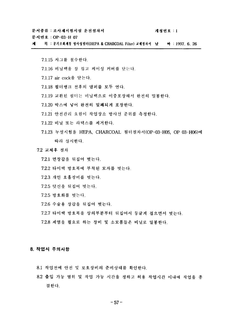문서번호 : OP-03-H 07

제 목 : 공기조화계통 방사성필터(HEPA & CHARCOAL Filter) 교체정차서 남 - 짜 : 1997, 6, 26

7.1.15 지그를 철수한다.

- 7.1.16 비닐백을 잘 접고 케이싱 커버를 닫는다.
- 7.1.17 air cock을 닫는다.
- 7.1.18 필터뱅크 전후의 댐퍼를 모두 연다.
- 7.1.19 교환된 필터는 비닐백으로 이중포장해서 완전히 밀봉한다.
- 7.1.20 박스에 넣어 완전히 밀폐되게 포장한다.
- 7.1.21 안전관리 요원이 작업장소 방사선 준위를 측정한다.
- 7.1.22 비닐 또는 라텍스를 제거한다.
- 7.1.23 누설시험을 HEPA, CHARCOAL 필터절차서(OP-03-H05, OP 03-H06)에 따라 실시한다.

7.2 교체후 절차

- 7.2.1 면장갑을 뒤집어 벗는다.
- 7.2.2 타이백 방호복에 부착된 모자를 벗는다.
- 7.2.3 개인 호흡장비를 벗는다.
- 7.2.5 덧신을 뒤집어 벗는다.
- 7.2.5 방호화를 벗는다.
- 7.2.6 수술용 장갑을 뒤집어 벗는다.
- 7.2.7 타이백 방호복을 상의부분부터 뒤집어서 둥글게 접으면서 벗는다.
- 7.2.8 제염을 필요로 하는 장비 및 소모품들은 비닐로 밀봉한다.

#### 8. 작업시 주의사항

- 8.1 작업전에 안전 및 보호장비의 준비상태를 확인한다.
- 8.2 출입 가능 범위 및 작업 가능 시간을 정하고 허용 작업시간 이내에 작업을 종 결한다.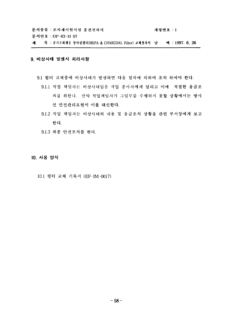문서종류 : 조사재시험시설 운전절차서 개정번호 : 1 문서번호 : OP-03-11 07 목 : 공기조화계통 방사성필터(HEPA & CHARCOAL Filter) 교체절차서 날 짜 : 1997. 6. 26 제

# 9. 비상사태 발생시 처리사항

- 9.1 필터 교체중에 비상사태가 발생하면 다음 절차에 의하여 조치 하여야 한다.
	- 9.1.1 작업 책임자는 비상사태임을 작업 종사자에게 알리고 이에 적절한 응급조 치를 취한다. 만약 작업책임자가 그임무를 수행하지 못할 상황에서는 방사 선 안전관리요원이 이를 대신한다.
	- 9.1.2 작업 책임자는 비상사태의 내용 및 웅급조치 상황을 관련 부서장에게 보고 한다.

9.1.3 최종 안전조치를 한다.

10. 사용 양식

10.1 필터 교체 기록지 (EF-IM-0017)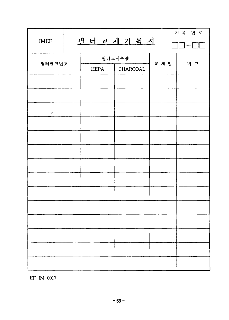| <b>IMEF</b>       |               | 기록 번호    |       |     |  |
|-------------------|---------------|----------|-------|-----|--|
|                   | 필 터 교 체 기 록 지 |          |       |     |  |
| 필터뱅크번호            |               | 필터교체수량   | 교 체 일 | 비 고 |  |
|                   | <b>HEPA</b>   | CHARCOAL |       |     |  |
|                   |               |          |       |     |  |
|                   |               |          |       |     |  |
| $\bullet^\bullet$ |               |          |       |     |  |
|                   |               |          |       |     |  |
|                   |               |          |       |     |  |
|                   |               |          |       |     |  |
|                   |               |          |       |     |  |
|                   |               |          |       |     |  |
|                   |               |          |       |     |  |
|                   |               |          |       |     |  |
|                   |               |          |       |     |  |
|                   |               |          |       |     |  |
|                   |               |          |       |     |  |
|                   |               |          |       |     |  |

EF-IM-0017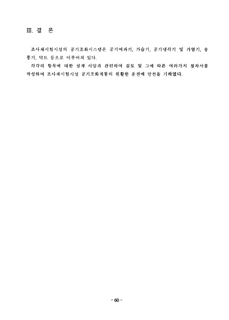**m.**

조사재시험시설의 공기조화시스템은 공기여과기, 가습기, 공기냉각기 및 가열기, 송 풍기, 덕트 등으로 이루어져 있다.

각각의 항목에 대한 설계 사양과 관련하여 검토 및 그에 따른 여러가지 절차서를 작성하여 조사재시험시설 공기조화계통의 원활한 운전에 만전을 기하였다.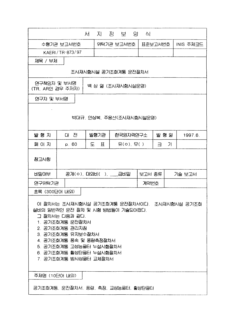|                                                                                                                                                                                                                                                                      |                      | 지<br>서           | 정 보 양     | 싀         |     |         |  |  |
|----------------------------------------------------------------------------------------------------------------------------------------------------------------------------------------------------------------------------------------------------------------------|----------------------|------------------|-----------|-----------|-----|---------|--|--|
| 수행기관 보고서번호<br>위탁기관 보고서번호<br>표준보고서번호<br>INIS 주제코드                                                                                                                                                                                                                     |                      |                  |           |           |     |         |  |  |
|                                                                                                                                                                                                                                                                      | KAERI/TR-873/97      |                  |           |           |     |         |  |  |
| 제목 / 부제                                                                                                                                                                                                                                                              |                      |                  |           |           |     |         |  |  |
|                                                                                                                                                                                                                                                                      | 조사재시험시설 공기조화계통 운전절차서 |                  |           |           |     |         |  |  |
| 연구책임자 및 부서명<br>백 상 열 (조사재시험시설운영)<br>(TR, AR인 경우 주저자)                                                                                                                                                                                                                 |                      |                  |           |           |     |         |  |  |
| 연구자 및 부서명                                                                                                                                                                                                                                                            |                      |                  |           |           |     |         |  |  |
| 박대규, 안상복, 주용선(조사재시험시설운영)                                                                                                                                                                                                                                             |                      |                  |           |           |     |         |  |  |
| 발행지                                                                                                                                                                                                                                                                  | 대 전                  | 발행기관             | 한국원자력연구소  |           | 발행일 | 1997.6. |  |  |
| 페이지                                                                                                                                                                                                                                                                  | p. 60                | 도<br>$\mathbf H$ | 유(ㅇ) 무( ) | $\exists$ | 가   |         |  |  |
| 참고사항                                                                                                                                                                                                                                                                 |                      |                  |           |           |     |         |  |  |
| 비밀여부                                                                                                                                                                                                                                                                 |                      |                  |           | 보고서 종류    |     | 기술 보고서  |  |  |
| 연구위탁기관                                                                                                                                                                                                                                                               |                      |                  |           | 계약번호      |     |         |  |  |
| 초록 (300단어 내외)                                                                                                                                                                                                                                                        |                      |                  |           |           |     |         |  |  |
| 이 절차서는 조사재시험시설 공기조화계통 운전절차서이다. 조사재시험시설 공기조화<br>설비의 일반적인 운전 절차 및 시험 방법들이 기술되어졌다.<br>그 절차서는 다음과 같다.<br>1. 공기조화계통 운전절차서<br>2. 공기조화계통 관리지침<br>3. 공기조화계통 유지보수절차서<br>4. 공기조화계통 풍속 및 풍량측정절차서<br>5. 공기조화계통 고성능필터 누설시험절차서<br>6. 공기조화계통 활성탄필터 누설시험절차서<br>7. 공기조화계통 방사성필터 교체절차서 |                      |                  |           |           |     |         |  |  |
| 주제명 (10단어 내외)                                                                                                                                                                                                                                                        |                      |                  |           |           |     |         |  |  |
| 공기조화계통, 운전절차서, 풍량, 측정, 교성능필터, 활성탄필터                                                                                                                                                                                                                                  |                      |                  |           |           |     |         |  |  |

\_\_\_\_\_\_\_\_\_\_\_